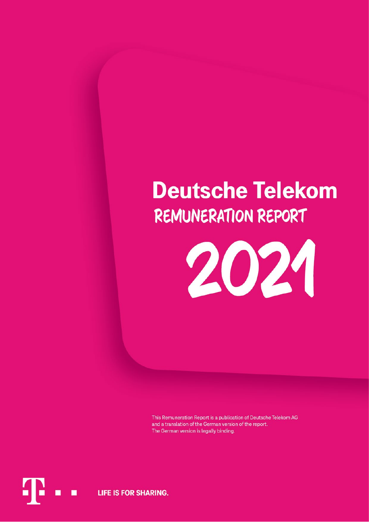# **Deutsche Telekom REMUNERATION REPORT**



This Remuneration Report is a publication of Deutsche Telekom AG and a translation of the German version of the report. The German version is legally binding.

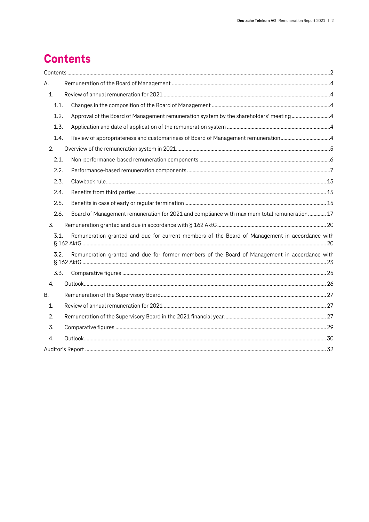# <span id="page-1-0"></span>**Contents**

| А.               |                                                                                                |  |
|------------------|------------------------------------------------------------------------------------------------|--|
| 1.               |                                                                                                |  |
| 1.1.             |                                                                                                |  |
| 1.2.             | Approval of the Board of Management remuneration system by the shareholders' meeting4          |  |
| 1.3.             |                                                                                                |  |
| 1.4.             | Review of appropriateness and customariness of Board of Management remuneration4               |  |
| 2.               |                                                                                                |  |
| 2.1.             |                                                                                                |  |
| 2.2.             |                                                                                                |  |
| 2.3.             |                                                                                                |  |
| 2.4.             |                                                                                                |  |
| 2.5.             |                                                                                                |  |
| 2.6.             | Board of Management remuneration for 2021 and compliance with maximum total remuneration 17    |  |
| 3.               |                                                                                                |  |
| 3.1.             | Remuneration granted and due for current members of the Board of Management in accordance with |  |
| 3.2.             | Remuneration granted and due for former members of the Board of Management in accordance with  |  |
| 3.3.             |                                                                                                |  |
| $\overline{4}$ . |                                                                                                |  |
| Β.               |                                                                                                |  |
| 1.               |                                                                                                |  |
| 2.               |                                                                                                |  |
| 3.               |                                                                                                |  |
| 4.               |                                                                                                |  |
|                  |                                                                                                |  |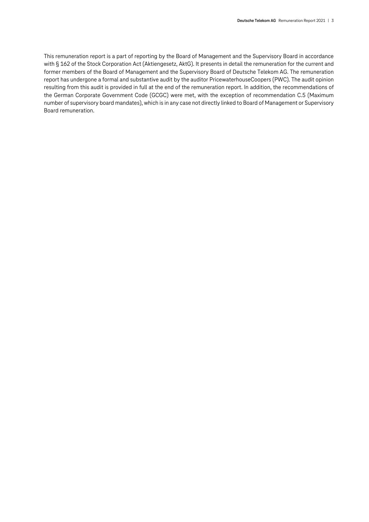This remuneration report is a part of reporting by the Board of Management and the Supervisory Board in accordance with § 162 of the Stock Corporation Act (Aktiengesetz, AktG). It presents in detail the remuneration for the current and former members of the Board of Management and the Supervisory Board of Deutsche Telekom AG. The remuneration report has undergone a formal and substantive audit by the auditor PricewaterhouseCoopers (PWC). The audit opinion resulting from this audit is provided in full at the end of the remuneration report. In addition, the recommendations of the German Corporate Government Code (GCGC) were met, with the exception of recommendation C.5 (Maximum number of supervisory board mandates), which is in any case not directly linked to Board of Management or Supervisory Board remuneration.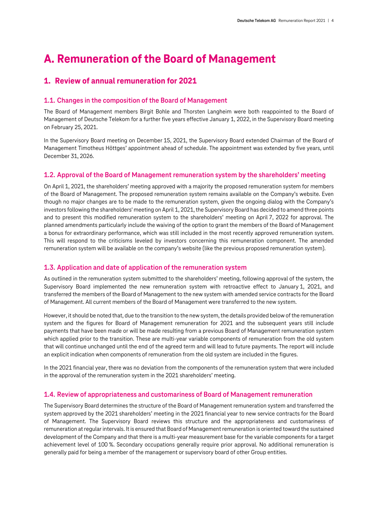# <span id="page-3-0"></span>**A. Remuneration of the Board of Management**

# <span id="page-3-1"></span>**1. Review of annual remuneration for 2021**

# <span id="page-3-2"></span>**1.1. Changes in the composition of the Board of Management**

The Board of Management members Birgit Bohle and Thorsten Langheim were both reappointed to the Board of Management of Deutsche Telekom for a further five years effective January 1, 2022, in the Supervisory Board meeting on February 25, 2021.

In the Supervisory Board meeting on December 15, 2021, the Supervisory Board extended Chairman of the Board of Management Timotheus Höttges' appointment ahead of schedule. The appointment was extended by five years, until December 31, 2026.

# <span id="page-3-3"></span>**1.2. Approval of the Board of Management remuneration system by the shareholders' meeting**

On April 1, 2021, the shareholders' meeting approved with a majority the proposed remuneration system for members of the Board of Management. The proposed remuneration system remains available on the Company's website. Even though no major changes are to be made to the remuneration system, given the ongoing dialog with the Company's investors following the shareholders' meeting on April 1, 2021, the Supervisory Board has decided to amend three points and to present this modified remuneration system to the shareholders' meeting on April 7, 2022 for approval. The planned amendments particularly include the waiving of the option to grant the members of the Board of Management a bonus for extraordinary performance, which was still included in the most recently approved remuneration system. This will respond to the criticisms leveled by investors concerning this remuneration component. The amended remuneration system will be available on the company's website (like the previous proposed remuneration system).

# <span id="page-3-4"></span>**1.3. Application and date of application of the remuneration system**

As outlined in the remuneration system submitted to the shareholders' meeting, following approval of the system, the Supervisory Board implemented the new remuneration system with retroactive effect to January 1, 2021, and transferred the members of the Board of Management to the new system with amended service contracts for the Board of Management. All current members of the Board of Management were transferred to the new system.

However, it should be noted that, due to the transition to the new system, the details provided below of the remuneration system and the figures for Board of Management remuneration for 2021 and the subsequent years still include payments that have been made or will be made resulting from a previous Board of Management remuneration system which applied prior to the transition. These are multi-year variable components of remuneration from the old system that will continue unchanged until the end of the agreed term and will lead to future payments. The report will include an explicit indication when components of remuneration from the old system are included in the figures.

In the 2021 financial year, there was no deviation from the components of the remuneration system that were included in the approval of the remuneration system in the 2021 shareholders' meeting.

## <span id="page-3-5"></span>**1.4. Review of appropriateness and customariness of Board of Management remuneration**

The Supervisory Board determines the structure of the Board of Management remuneration system and transferred the system approved by the 2021 shareholders' meeting in the 2021 financial year to new service contracts for the Board of Management. The Supervisory Board reviews this structure and the appropriateness and customariness of remuneration at regular intervals. It is ensured that Board of Management remuneration is oriented toward the sustained development of the Company and that there is a multi-year measurement base for the variable components for a target achievement level of 100 %. Secondary occupations generally require prior approval. No additional remuneration is generally paid for being a member of the management or supervisory board of other Group entities.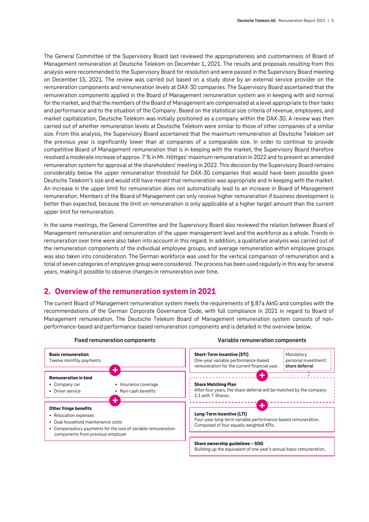The General Committee of the Supervisory Board last reviewed the appropriateness and customariness of Board of Management remuneration at Deutsche Telekom on December 1, 2021. The results and proposals resulting from this analysis were recommended to the Supervisory Board for resolution and were passed in the Supervisory Board meeting on December 15, 2021. The review was carried out based on a study done by an external service provider on the remuneration components and remuneration levels at DAX-30 companies. The Supervisory Board ascertained that the remuneration components applied in the Board of Management remuneration system are in keeping with and normal for the market, and that the members of the Board of Management are compensated at a level appropriate to their tasks and performance and to the situation of the Company. Based on the statistical size criteria of revenue, employees, and market capitalization, Deutsche Telekom was initially positioned as a company within the DAX-30. A review was then carried out of whether remuneration levels at Deutsche Telekom were similar to those of other companies of a similar size. From this analysis, the Supervisory Board ascertained that the maximum remuneration at Deutsche Telekom set the previous year is significantly lower than at companies of a comparable size. In order to continue to provide competitive Board of Management remuneration that is in keeping with the market, the Supervisory Board therefore resolved a moderate increase of approx. 7 % in Mr. Höttges' maximum remuneration in 2022 and to present an amended remuneration system for approval at the shareholders' meeting in 2022. This decision by the Supervisory Board remains considerably below the upper remuneration threshold for DAX-30 companies that would have been possible given Deutsche Telekom's size and would still have meant that remuneration was appropriate and in keeping with the market. An increase in the upper limit for remuneration does not automatically lead to an increase in Board of Management remuneration. Members of the Board of Management can only receive higher remuneration if business development is better than expected, because the limit on remuneration is only applicable at a higher target amount than the current upper limit for remuneration.

In the same meetings, the General Committee and the Supervisory Board also reviewed the relation between Board of Management remuneration and remuneration of the upper management level and the workforce as a whole. Trends in remuneration over time were also taken into account in this regard. In addition, a qualitative analysis was carried out of the remuneration components of the individual employee groups, and average remuneration within employee groups was also taken into consideration. The German workforce was used for the vertical comparison of remuneration and a total of seven categories of employee group were considered. The process has been used regularly in this way for several years, making it possible to observe changes in remuneration over time.

# <span id="page-4-0"></span>**2. Overview of the remuneration system in 2021**

The current Board of Management remuneration system meets the requirements of § 87a AktG and complies with the recommendations of the German Corporate Governance Code, with full compliance in 2021 in regard to Board of Management remuneration. The Deutsche Telekom Board of Management remuneration system consists of nonperformance-based and performance-based remuneration components and is detailed in the overview below.

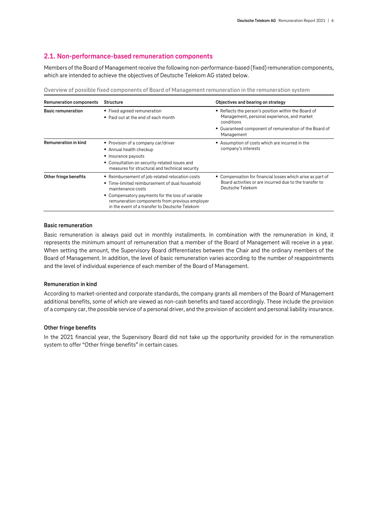# <span id="page-5-0"></span>**2.1. Non-performance-based remuneration components**

Members of the Board of Management receive the following non-performance-based (fixed) remuneration components, which are intended to achieve the objectives of Deutsche Telekom AG stated below.

**Overview of possible fixed components of Board of Management remuneration in the remuneration system**

| Remuneration components     | <b>Structure</b>                                                                                                                                                                                                                                                               | Objectives and bearing on strategy<br>Reflects the person's position within the Board of<br>Management, personal experience, and market<br>conditions<br>■ Guaranteed component of remuneration of the Board of<br>Management<br>Assumption of costs which are incurred in the<br>company's interests |  |  |  |
|-----------------------------|--------------------------------------------------------------------------------------------------------------------------------------------------------------------------------------------------------------------------------------------------------------------------------|-------------------------------------------------------------------------------------------------------------------------------------------------------------------------------------------------------------------------------------------------------------------------------------------------------|--|--|--|
| <b>Basic remuneration</b>   | ■ Fixed agreed remuneration<br>• Paid out at the end of each month                                                                                                                                                                                                             |                                                                                                                                                                                                                                                                                                       |  |  |  |
| <b>Remuneration in kind</b> | Provision of a company car/driver<br>Annual health checkup<br>■ Insurance payouts<br>• Consultation on security-related issues and<br>measures for structural and technical security                                                                                           |                                                                                                                                                                                                                                                                                                       |  |  |  |
| Other fringe benefits       | ■ Reimbursement of job-related relocation costs<br>■ Time-limited reimbursement of dual household<br>maintenance costs<br>• Compensatory payments for the loss of variable<br>remuneration components from previous employer<br>in the event of a transfer to Deutsche Telekom | • Compensation for financial losses which arise as part of<br>Board activities or are incurred due to the transfer to<br>Deutsche Telekom                                                                                                                                                             |  |  |  |

#### **Basic remuneration**

Basic remuneration is always paid out in monthly installments. In combination with the remuneration in kind, it represents the minimum amount of remuneration that a member of the Board of Management will receive in a year. When setting the amount, the Supervisory Board differentiates between the Chair and the ordinary members of the Board of Management. In addition, the level of basic remuneration varies according to the number of reappointments and the level of individual experience of each member of the Board of Management.

#### **Remuneration in kind**

According to market-oriented and corporate standards, the company grants all members of the Board of Management additional benefits, some of which are viewed as non-cash benefits and taxed accordingly. These include the provision of a company car, the possible service of a personal driver, and the provision of accident and personal liability insurance.

#### **Other fringe benefits**

In the 2021 financial year, the Supervisory Board did not take up the opportunity provided for in the remuneration system to offer "Other fringe benefits" in certain cases.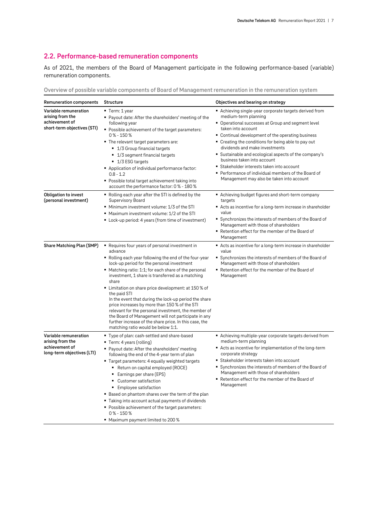# <span id="page-6-0"></span>**2.2. Performance-based remuneration components**

As of 2021, the members of the Board of Management participate in the following performance-based (variable) remuneration components.

**Overview of possible variable components of Board of Management remuneration in the remuneration system**

| Remuneration components                                                                    | <b>Structure</b>                                                                                                                                                                                                                                                                                                                                                                                                                                                                                                                                                                                                                                                                         | Objectives and bearing on strategy                                                                                                                                                                                                                                                                                                                                                                                                                                                                                                               |
|--------------------------------------------------------------------------------------------|------------------------------------------------------------------------------------------------------------------------------------------------------------------------------------------------------------------------------------------------------------------------------------------------------------------------------------------------------------------------------------------------------------------------------------------------------------------------------------------------------------------------------------------------------------------------------------------------------------------------------------------------------------------------------------------|--------------------------------------------------------------------------------------------------------------------------------------------------------------------------------------------------------------------------------------------------------------------------------------------------------------------------------------------------------------------------------------------------------------------------------------------------------------------------------------------------------------------------------------------------|
| Variable remuneration<br>arising from the<br>achievement of<br>short-term objectives (STI) | ■ Term: 1 year<br>• Payout date: After the shareholders' meeting of the<br>following year<br>• Possible achievement of the target parameters:<br>0 % - 150 %<br>• The relevant target parameters are:<br>$\blacksquare$ 1/3 Group financial targets<br>$\blacksquare$ 1/3 segment financial targets<br>$\blacksquare$ 1/3 ESG targets<br>Application of individual performance factor:<br>$0.8 - 1.2$<br>■ Possible total target achievement taking into<br>account the performance factor: 0% - 180%                                                                                                                                                                                    | ■ Achieving single-year corporate targets derived from<br>medium-term planning<br>• Operational successes at Group and segment level<br>taken into account<br>• Continual development of the operating business<br>• Creating the conditions for being able to pay out<br>dividends and make investments<br>■ Sustainable and ecological aspects of the company's<br>business taken into account<br>■ Stakeholder interests taken into account<br>Performance of individual members of the Board of<br>Management may also be taken into account |
| Obligation to invest<br>(personal investment)                                              | $\blacksquare$ Rolling each year after the STI is defined by the<br>Supervisory Board<br>• Minimum investment volume: 1/3 of the STI<br>Maximum investment volume: 1/2 of the STI<br>■ Lock-up period: 4 years (from time of investment)                                                                                                                                                                                                                                                                                                                                                                                                                                                 | ■ Achieving budget figures and short-term company<br>targets<br>Acts as incentive for a long-term increase in shareholder<br>value<br>• Synchronizes the interests of members of the Board of<br>Management with those of shareholders<br>■ Retention effect for the member of the Board of<br>Management                                                                                                                                                                                                                                        |
| Share Matching Plan (SMP)                                                                  | • Requires four years of personal investment in<br>advance<br>• Rolling each year following the end of the four-year<br>lock-up period for the personal investment<br>• Matching ratio: 1:1; for each share of the personal<br>investment, 1 share is transferred as a matching<br>share<br>■ Limitation on share price development: at 150 % of<br>the paid STI<br>In the event that during the lock-up period the share<br>price increases by more than 150 % of the STI<br>relevant for the personal investment, the member of<br>the Board of Management will not participate in any<br>further increase of the share price. In this case, the<br>matching ratio would be below 1:1. | Acts as incentive for a long-term increase in shareholder<br>value<br>• Synchronizes the interests of members of the Board of<br>Management with those of shareholders<br>■ Retention effect for the member of the Board of<br>Management                                                                                                                                                                                                                                                                                                        |
| Variable remuneration<br>arising from the<br>achievement of<br>long-term objectives (LTI)  | ■ Type of plan: cash-settled and share-based<br>■ Term: 4 years (rolling)<br>■ Payout date: After the shareholders' meeting<br>following the end of the 4-year term of plan<br>" Target parameters: 4 equally weighted targets<br>■ Return on capital employed (ROCE)<br>Earnings per share (EPS)<br>• Customer satisfaction<br>Employee satisfaction<br>" Based on phantom shares over the term of the plan<br>Taking into account actual payments of dividends<br>• Possible achievement of the target parameters:<br>0 % - 150 %<br>■ Maximum payment limited to 200 %                                                                                                                | ■ Achieving multiple-year corporate targets derived from<br>medium-term planning<br>■ Acts as incentive for implementation of the long-term<br>corporate strategy<br>Stakeholder interests taken into account<br>• Synchronizes the interests of members of the Board of<br>Management with those of shareholders<br>■ Retention effect for the member of the Board of<br>Management                                                                                                                                                             |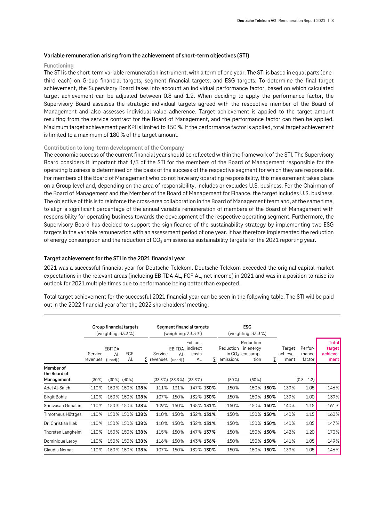#### **Variable remuneration arising from the achievement of short-term objectives (STI)**

#### **Functioning**

The STI is the short-term variable remuneration instrument, with a term of one year. The STI is based in equal parts (onethird each) on Group financial targets, segment financial targets, and ESG targets. To determine the final target achievement, the Supervisory Board takes into account an individual performance factor, based on which calculated target achievement can be adjusted between 0.8 and 1.2. When deciding to apply the performance factor, the Supervisory Board assesses the strategic individual targets agreed with the respective member of the Board of Management and also assesses individual value adherence. Target achievement is applied to the target amount resulting from the service contract for the Board of Management, and the performance factor can then be applied. Maximum target achievement per KPI is limited to 150 %. If the performance factor is applied, total target achievement is limited to a maximum of 180 % of the target amount.

#### **Contribution to long-term development of the Company**

The economic success of the current financial year should be reflected within the framework of the STI. The Supervisory Board considers it important that 1/3 of the STI for the members of the Board of Management responsible for the operating business is determined on the basis of the success of the respective segment for which they are responsible. For members of the Board of Management who do not have any operating responsibility, this measurement takes place on a Group level and, depending on the area of responsibility, includes or excludes U.S. business. For the Chairman of the Board of Management and the Member of the Board of Management for Finance, the target includes U.S. business. The objective of this is to reinforce the cross-area collaboration in the Board of Management team and, at the same time, to align a significant percentage of the annual variable remuneration of members of the Board of Management with responsibility for operating business towards the development of the respective operating segment. Furthermore, the Supervisory Board has decided to support the significance of the sustainability strategy by implementing two ESG targets in the variable remuneration with an assessment period of one year. It has therefore implemented the reduction of energy consumption and the reduction of  $CO<sub>2</sub>$  emissions as sustainability targets for the 2021 reporting year.

#### **Target achievement for the STI in the 2021 financial year**

2021 was a successful financial year for Deutsche Telekom. Deutsche Telekom exceeded the original capital market expectations in the relevant areas (including EBITDA AL, FCF AL, net income) in 2021 and was in a position to raise its outlook for 2021 multiple times due to performance being better than expected.

Total target achievement for the successful 2021 financial year can be seen in the following table. The STI will be paid out in the 2022 financial year after the 2022 shareholders' meeting.

|                                         | Group financial targets<br>(weighting: $33.3\%$ ) |                                 |                   |   |                              |                 | Segment financial targets<br>(weighting: 33.3 %) |           | <b>ESG</b><br>(weighting: 33.3 %) |                                                     |           |                            |                            |                                      |
|-----------------------------------------|---------------------------------------------------|---------------------------------|-------------------|---|------------------------------|-----------------|--------------------------------------------------|-----------|-----------------------------------|-----------------------------------------------------|-----------|----------------------------|----------------------------|--------------------------------------|
|                                         | Service<br>revenues                               | <b>EBITDA</b><br>AL<br>(unadj.) | <b>FCF</b><br>AL  | Σ | Service<br>revenues (unadi.) | EBITDA<br>AL    | Ext. adj.<br>indirect<br>costs<br>AL             | Σ         | Reduction<br>emissions            | Reduction<br>in energy<br>in $CO2$ consump-<br>tion | Σ         | Target<br>achieve-<br>ment | Perfor-<br>mance<br>factor | Totall<br>target<br>achieve-<br>ment |
| Member of<br>the Board of<br>Management | $(30\%)$                                          |                                 | $(30\%)$ $(40\%)$ |   |                              | (33.3%) (33.3%) | $(33.3\%)$                                       |           | $(50\%)$                          | $(50\%)$                                            |           |                            | $(0.8 - 1.2)$              |                                      |
| Adel Al-Saleh                           | 110%                                              |                                 | 150% 150% 138%    |   | 111%                         | 131%            |                                                  | 147% 130% | 150%                              |                                                     | 150% 150% | 139%                       | 1.05                       | 146%                                 |
| <b>Birgit Bohle</b>                     | 110%                                              |                                 | 150% 150% 138%    |   | 107%                         | 150%            |                                                  | 132% 130% | 150%                              |                                                     | 150% 150% | 139%                       | 1.00                       | 139%                                 |
| Srinivasan Gopalan                      | 110%                                              |                                 | 150% 150% 138%    |   | 109%                         | 150%            |                                                  | 135% 131% | 150%                              |                                                     | 150% 150% | 140%                       | 1.15                       | 161%                                 |
| Timotheus Höttges                       | 110%                                              |                                 | 150% 150% 138%    |   | 110%                         | 150%            |                                                  | 132% 131% | 150%                              |                                                     | 150% 150% | 140%                       | 1.15                       | 160%                                 |
| Dr. Christian Illek                     | 110%                                              |                                 | 150% 150% 138%    |   | 110%                         | 150%            |                                                  | 132% 131% | 150%                              |                                                     | 150% 150% | 140%                       | 1.05                       | 147%                                 |
| Thorsten Langheim                       | 110%                                              |                                 | 150% 150% 138%    |   | 115%                         | 150%            |                                                  | 147% 137% | 150%                              |                                                     | 150% 150% | 142%                       | 1.20                       | 170%                                 |
| Dominique Leroy                         | 110%                                              |                                 | 150% 150% 138%    |   | 116%                         | 150%            |                                                  | 143% 136% | 150%                              |                                                     | 150% 150% | 141%                       | 1.05                       | 149%                                 |
| Claudia Nemat                           | 110%                                              |                                 | 150% 150% 138%    |   | 107%                         | 150%            |                                                  | 132% 130% | 150%                              |                                                     | 150% 150% | 139%                       | 1.05                       | 146%                                 |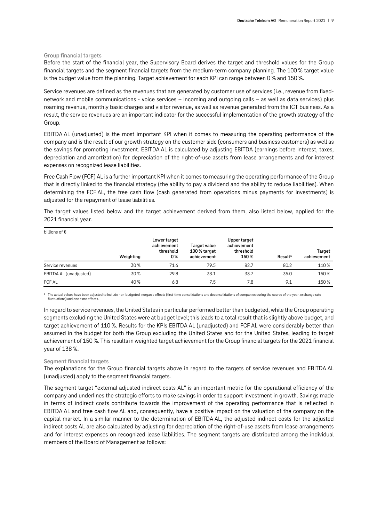#### **Group financial targets**

Before the start of the financial year, the Supervisory Board derives the target and threshold values for the Group financial targets and the segment financial targets from the medium-term company planning. The 100 % target value is the budget value from the planning. Target achievement for each KPI can range between 0 % and 150 %.

Service revenues are defined as the revenues that are generated by customer use of services (i.e., revenue from fixednetwork and mobile communications - voice services – incoming and outgoing calls – as well as data services) plus roaming revenue, monthly basic charges and visitor revenue, as well as revenue generated from the ICT business. As a result, the service revenues are an important indicator for the successful implementation of the growth strategy of the Group.

EBITDA AL (unadjusted) is the most important KPI when it comes to measuring the operating performance of the company and is the result of our growth strategy on the customer side (consumers and business customers) as well as the savings for promoting investment. EBITDA AL is calculated by adjusting EBITDA (earnings before interest, taxes, depreciation and amortization) for depreciation of the right-of-use assets from lease arrangements and for interest expenses on recognized lease liabilities.

Free Cash Flow (FCF) AL is a further important KPI when it comes to measuring the operating performance of the Group that is directly linked to the financial strategy (the ability to pay a dividend and the ability to reduce liabilities). When determining the FCF AL, the free cash flow (cash generated from operations minus payments for investments) is adjusted for the repayment of lease liabilities.

The target values listed below and the target achievement derived from them, also listed below, applied for the 2021 financial year.

| billions of $\epsilon$ |           |                                                |                                             |                                                  |                     |                       |  |  |  |  |
|------------------------|-----------|------------------------------------------------|---------------------------------------------|--------------------------------------------------|---------------------|-----------------------|--|--|--|--|
|                        | Weighting | Lower target<br>achievement<br>threshold<br>0% | Target value<br>100 % target<br>achievement | Upper target<br>achievement<br>threshold<br>150% | Result <sup>1</sup> | Target<br>achievement |  |  |  |  |
| Service revenues       | 30%       | 71.6                                           | 79.5                                        | 82.7                                             | 80.2                | 110%                  |  |  |  |  |
| EBITDA AL (unadjusted) | 30%       | 29.8                                           | 33.1                                        | 33.7                                             | 35.0                | 150%                  |  |  |  |  |
| <b>FCF AL</b>          | 40%       | 6.8                                            | 7.5                                         | 7.8                                              | 9.1                 | 150%                  |  |  |  |  |

 $^1$  The actual values have been adiusted to include non-budgeted inorganic effects (first-time consolidations and deconsolidations of companies during the course of the year, exchange rate fluctuations) and one-time effects.

In regard to service revenues, the United States in particular performed better than budgeted, while the Group operating segments excluding the United States were at budget level; this leads to a total result that is slightly above budget, and target achievement of 110 %. Results for the KPIs EBITDA AL (unadjusted) and FCF AL were considerably better than assumed in the budget for both the Group excluding the United States and for the United States, leading to target achievement of 150 %. This results in weighted target achievement for the Group financial targets for the 2021 financial year of 138 %.

#### **Segment financial targets**

The explanations for the Group financial targets above in regard to the targets of service revenues and EBITDA AL (unadjusted) apply to the segment financial targets.

The segment target "external adjusted indirect costs AL" is an important metric for the operational efficiency of the company and underlines the strategic efforts to make savings in order to support investment in growth. Savings made in terms of indirect costs contribute towards the improvement of the operating performance that is reflected in EBITDA AL and free cash flow AL and, consequently, have a positive impact on the valuation of the company on the capital market. In a similar manner to the determination of EBITDA AL, the adjusted indirect costs for the adjusted indirect costs AL are also calculated by adjusting for depreciation of the right-of-use assets from lease arrangements and for interest expenses on recognized lease liabilities. The segment targets are distributed among the individual members of the Board of Management as follows: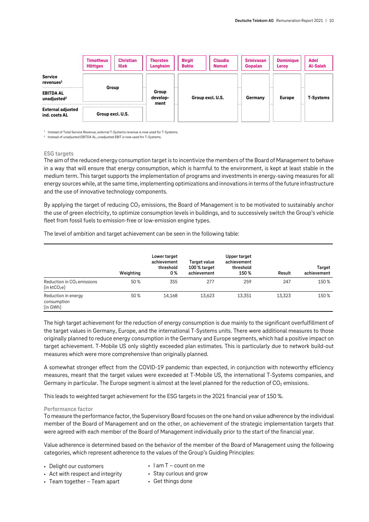|                                                      | <b>Timotheus</b><br><b>Höttges</b> | <b>Christian</b><br>Illek | <b>Thorsten</b><br>Langheim | <b>Birgit</b><br><b>Bohle</b> | <b>Claudia</b><br><b>Nemat</b> | <b>Srinivasan</b><br>Gopalan | <b>Dominique</b><br>Leroy | <b>Adel</b><br><b>Al-Saleh</b> |
|------------------------------------------------------|------------------------------------|---------------------------|-----------------------------|-------------------------------|--------------------------------|------------------------------|---------------------------|--------------------------------|
| <b>Service</b><br>revenues <sup>1</sup>              |                                    |                           |                             |                               |                                |                              |                           |                                |
| Group<br><b>EBITDA AL</b><br>unadjusted <sup>2</sup> |                                    | Group<br>develop-<br>ment |                             | Group excl. U.S.              | Germany                        | <b>Europe</b>                | T-Systems                 |                                |
| <b>External adjusted</b><br>ind. costs AL            |                                    | Group excl. U.S.          |                             |                               |                                |                              |                           |                                |

<sup>1</sup> Instead of Total Service Revenue, external T-Systems revenue is now used for T-Systems.

<sup>2</sup> Instead of unadjusted EBITDA AL, unadjusted EBIT is now used for T-Systems.

#### **ESG targets**

The aim of the reduced energy consumption target is to incentivize the members of the Board of Management to behave in a way that will ensure that energy consumption, which is harmful to the environment, is kept at least stable in the medium term. This target supports the implementation of programs and investments in energy-saving measures for all energy sources while, at the same time, implementing optimizations and innovations in terms of the future infrastructure and the use of innovative technology components.

By applying the target of reducing  $CO<sub>2</sub>$  emissions, the Board of Management is to be motivated to sustainably anchor the use of green electricity, to optimize consumption levels in buildings, and to successively switch the Group's vehicle fleet from fossil fuels to emission-free or low-emission engine types.

The level of ambition and target achievement can be seen in the following table:

|                                                                    | Weighting | Lower target<br>achievement<br>threshold<br>0% | Target value<br>100 % target<br>achievement | Upper target<br>achievement<br>threshold<br>150% | Result | Target<br>achievement |
|--------------------------------------------------------------------|-----------|------------------------------------------------|---------------------------------------------|--------------------------------------------------|--------|-----------------------|
| Reduction in CO <sub>2</sub> emissions<br>(in ktCO <sub>2</sub> e) | 50%       | 355                                            | 277                                         | 259                                              | 247    | 150%                  |
| Reduction in energy<br>consumption<br>(in GWh)                     | 50%       | 14,168                                         | 13,623                                      | 13,351                                           | 13,323 | 150 %                 |

The high target achievement for the reduction of energy consumption is due mainly to the significant overfulfillment of the target values in Germany, Europe, and the international T-Systems units. There were additional measures to those originally planned to reduce energy consumption in the Germany and Europe segments, which had a positive impact on target achievement. T-Mobile US only slightly exceeded plan estimates. This is particularly due to network build-out measures which were more comprehensive than originally planned.

A somewhat stronger effect from the COVID-19 pandemic than expected, in conjunction with noteworthy efficiency measures, meant that the target values were exceeded at T-Mobile US, the international T-Systems companies, and Germany in particular. The Europe segment is almost at the level planned for the reduction of  $CO<sub>2</sub>$  emissions.

This leads to weighted target achievement for the ESG targets in the 2021 financial year of 150 %.

#### **Performance factor**

To measure the performance factor, the Supervisory Board focuses on the one hand on value adherence by the individual member of the Board of Management and on the other, on achievement of the strategic implementation targets that were agreed with each member of the Board of Management individually prior to the start of the financial year.

Value adherence is determined based on the behavior of the member of the Board of Management using the following categories, which represent adherence to the values of the Group's Guiding Principles:

- Delight our customers
- Act with respect and integrity
- Team together Team apart
- $\blacksquare$  lam T count on me
- Stay curious and grow
- Get things done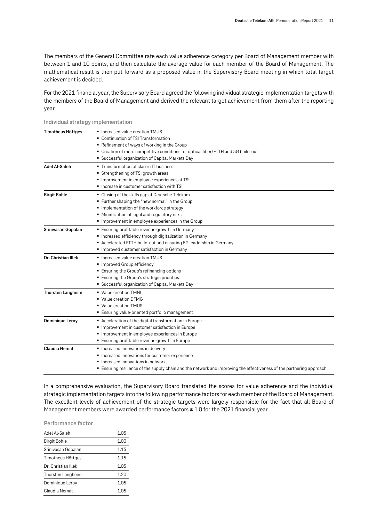The members of the General Committee rate each value adherence category per Board of Management member with between 1 and 10 points, and then calculate the average value for each member of the Board of Management. The mathematical result is then put forward as a proposed value in the Supervisory Board meeting in which total target achievement is decided.

For the 2021 financial year, the Supervisory Board agreed the following individual strategic implementation targets with the members of the Board of Management and derived the relevant target achievement from them after the reporting year.

| <b>Timotheus Höttges</b> | ■ Increased value creation TMUS                                                                                    |
|--------------------------|--------------------------------------------------------------------------------------------------------------------|
|                          | Continuation of TSI Transformation                                                                                 |
|                          | ■ Refinement of ways of working in the Group                                                                       |
|                          | • Creation of more competitive conditions for optical fiber/FTTH and 5G build-out                                  |
|                          | • Successful organization of Capital Markets Day                                                                   |
| Adel Al-Saleh            | ■ Transformation of classic IT business                                                                            |
|                          | Strengthening of TSI growth areas                                                                                  |
|                          | Improvement in employee experiences at TSI                                                                         |
|                          | Increase in customer satisfaction with TSI                                                                         |
| <b>Birgit Bohle</b>      | • Closing of the skills gap at Deutsche Telekom                                                                    |
|                          | ■ Further shaping the "new normal" in the Group                                                                    |
|                          | Implementation of the workforce strategy                                                                           |
|                          | Minimization of legal and regulatory risks                                                                         |
|                          | Improvement in employee experiences in the Group                                                                   |
| Srinivasan Gopalan       | ■ Ensuring profitable revenue growth in Germany                                                                    |
|                          | Increased efficiency through digitalization in Germany                                                             |
|                          | Accelerated FTTH build-out and ensuring 5G leadership in Germany                                                   |
|                          | Improved customer satisfaction in Germany                                                                          |
| Dr. Christian Illek      | Increased value creation TMUS                                                                                      |
|                          | Improved Group efficiency                                                                                          |
|                          | ■ Ensuring the Group's refinancing options                                                                         |
|                          | <b>Ensuring the Group's strategic priorities</b>                                                                   |
|                          | • Successful organization of Capital Markets Day                                                                   |
| <b>Thorsten Langheim</b> | ■ Value creation TMNL                                                                                              |
|                          | ■ Value creation DFMG                                                                                              |
|                          | ■ Value creation TMUS                                                                                              |
|                          | Ensuring value-oriented portfolio management                                                                       |
| <b>Dominique Leroy</b>   | Acceleration of the digital transformation in Europe                                                               |
|                          | Improvement in customer satisfaction in Europe                                                                     |
|                          | Improvement in employee experiences in Europe                                                                      |
|                          | ■ Ensuring profitable revenue growth in Europe                                                                     |
| <b>Claudia Nemat</b>     | Increased innovations in delivery                                                                                  |
|                          | Increased innovations for customer experience                                                                      |
|                          | Increased innovations in networks                                                                                  |
|                          | Ensuring resilience of the supply chain and the network and improving the effectiveness of the partnering approach |
|                          |                                                                                                                    |

**Individual strategy implementation**

In a comprehensive evaluation, the Supervisory Board translated the scores for value adherence and the individual strategic implementation targets into the following performance factors for each member of the Board of Management. The excellent levels of achievement of the strategic targets were largely responsible for the fact that all Board of Management members were awarded performance factors ≥ 1.0 for the 2021 financial year.

#### **Performance factor**

| Adel Al-Saleh       | 1.05 |
|---------------------|------|
| <b>Birgit Bohle</b> | 1.00 |
| Srinivasan Gopalan  | 1.15 |
| Timotheus Höttges   | 1.15 |
| Dr. Christian Illek | 1.05 |
| Thorsten Langheim   | 1.20 |
| Dominique Leroy     | 1.05 |
| Claudia Nemat       | 1 በ5 |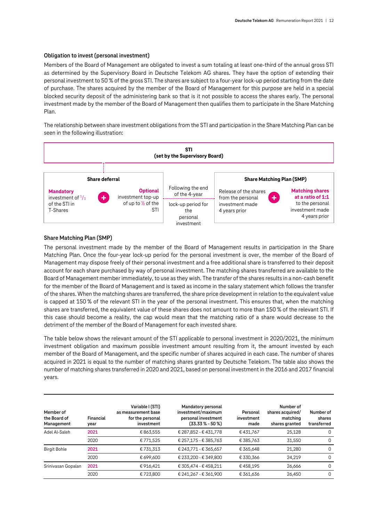#### **Obligation to invest (personal investment)**

Members of the Board of Management are obligated to invest a sum totaling at least one-third of the annual gross STI as determined by the Supervisory Board in Deutsche Telekom AG shares. They have the option of extending their personal investment to 50 % of the gross STI. The shares are subject to a four-year lock-up period starting from the date of purchase. The shares acquired by the member of the Board of Management for this purpose are held in a special blocked security deposit of the administering bank so that is it not possible to access the shares early. The personal investment made by the member of the Board of Management then qualifies them to participate in the Share Matching Plan.

The relationship between share investment obligations from the STI and participation in the Share Matching Plan can be seen in the following illustration:



#### **Share Matching Plan (SMP)**

The personal investment made by the member of the Board of Management results in participation in the Share Matching Plan. Once the four-year lock-up period for the personal investment is over, the member of the Board of Management may dispose freely of their personal investment and a free additional share is transferred to their deposit account for each share purchased by way of personal investment. The matching shares transferred are available to the Board of Management member immediately, to use as they wish. The transfer of the shares results in a non-cash benefit for the member of the Board of Management and is taxed as income in the salary statement which follows the transfer of the shares. When the matching shares are transferred, the share price development in relation to the equivalent value is capped at 150 % of the relevant STI in the year of the personal investment. This ensures that, when the matching shares are transferred, the equivalent value of these shares does not amount to more than 150 % of the relevant STI. If this case should become a reality, the cap would mean that the matching ratio of a share would decrease to the detriment of the member of the Board of Management for each invested share.

The table below shows the relevant amount of the STI applicable to personal investment in 2020/2021, the minimum investment obligation and maximum possible investment amount resulting from it, the amount invested by each member of the Board of Management, and the specific number of shares acquired in each case. The number of shares acquired in 2021 is equal to the number of matching shares granted by Deutsche Telekom. The table also shows the number of matching shares transferred in 2020 and 2021, based on personal investment in the 2016 and 2017 financial years.

| Member of<br>the Board of<br>Management | Financial<br>year | Variable I (STI)<br>as measurement base<br>for the personal<br>investment | Mandatory personal<br>investment/maximum<br>personal investment<br>(33.33 % - 50 %) | Personal<br>investment<br>made | Number of<br>shares acquired/<br>matching<br>shares granted | Number of<br>shares<br>transferred |
|-----------------------------------------|-------------------|---------------------------------------------------------------------------|-------------------------------------------------------------------------------------|--------------------------------|-------------------------------------------------------------|------------------------------------|
| Adel Al-Saleh                           | 2021              | € 863,555                                                                 | € 287,852 - € 431,778                                                               | €431.767                       | 25.128                                                      | 0                                  |
|                                         | 2020              | €771.525                                                                  | € 257,175 - € 385,763                                                               | € 385.763                      | 31,550                                                      | $\Omega$                           |
| <b>Birgit Bohle</b>                     | 2021              | €731,313                                                                  | € 243,771 - € 365,657                                                               | € 365,648                      | 21,280                                                      | 0                                  |
|                                         | 2020              | € 699.600                                                                 | € 233.200 - € 349.800                                                               | € 330.366                      | 24.219                                                      | $\Omega$                           |
| Srinivasan Gopalan                      | 2021              | €916.421                                                                  | € 305.474 - € 458.211                                                               | €458.195                       | 26,666                                                      | $\Omega$                           |
|                                         | 2020              | €723,800                                                                  | € 241,267 - € 361,900                                                               | € 361,636                      | 26,450                                                      | $\Omega$                           |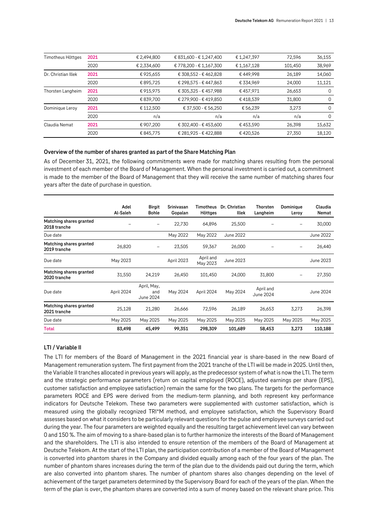| Timotheus Höttges   | 2021 | € 2,494,800 | € 831,600 - € 1,247,400 | €1,247,397 | 72,596  | 36,155   |
|---------------------|------|-------------|-------------------------|------------|---------|----------|
|                     | 2020 | € 2,334,600 | € 778,200 - € 1,167,300 | €1,167,128 | 101,450 | 38,969   |
| Dr. Christian Illek | 2021 | €925,655    | € 308,552 - € 462,828   | €449,998   | 26,189  | 14,060   |
|                     | 2020 | €895.725    | € 298,575 - € 447,863   | € 334.969  | 24,000  | 11,121   |
| Thorsten Langheim   | 2021 | €915,975    | € 305,325 - € 457,988   | €457,971   | 26,653  | 0        |
|                     | 2020 | € 839,700   | € 279,900 - € 419,850   | €418,539   | 31,800  | 0        |
| Dominique Leroy     | 2021 | € 112.500   | € 37,500 - € 56,250     | €56,239    | 3.273   | 0        |
|                     | 2020 | n/a         | n/a                     | n/a        | n/a     | $\Omega$ |
| Claudia Nemat       | 2021 | € 907,200   | € 302,400 - € 453,600   | €453,590   | 26,398  | 15,632   |
|                     | 2020 | €845.775    | € 281,925 - € 422,888   | €420,526   | 27,350  | 18,120   |

#### **Overview of the number of shares granted as part of the Share Matching Plan**

As of December 31, 2021, the following commitments were made for matching shares resulting from the personal investment of each member of the Board of Management. When the personal investment is carried out, a commitment is made to the member of the Board of Management that they will receive the same number of matching shares four years after the date of purchase in question.

|                                         | Adel<br>Al-Saleh | <b>Birgit</b><br><b>Bohle</b>   | Srinivasan<br>Gopalan | Timotheus<br>Höttges  | Dr. Christian<br>Illek | <b>Thorsten</b><br>Langheim | Dominique<br>Leroy | Claudia<br>Nemat |
|-----------------------------------------|------------------|---------------------------------|-----------------------|-----------------------|------------------------|-----------------------------|--------------------|------------------|
| Matching shares granted<br>2018 tranche |                  | -                               | 22,730                | 64,896                | 25,500                 |                             |                    | 30,000           |
| Due date                                |                  |                                 | May 2022              | May 2022              | June 2022              |                             |                    | June 2022        |
| Matching shares granted<br>2019 tranche | 26,820           | $\overline{\phantom{0}}$        | 23,505                | 59,367                | 26,000                 |                             |                    | 26,440           |
| Due date                                | May 2023         |                                 | April 2023            | April and<br>May 2023 | June 2023              |                             |                    | June 2023        |
| Matching shares granted<br>2020 tranche | 31,550           | 24,219                          | 26,450                | 101,450               | 24,000                 | 31,800                      |                    | 27,350           |
| Due date                                | April 2024       | April, May,<br>and<br>June 2024 | May 2024              | April 2024            | May 2024               | April and<br>June 2024      |                    | June 2024        |
| Matching shares granted<br>2021 tranche | 25,128           | 21,280                          | 26,666                | 72,596                | 26,189                 | 26,653                      | 3,273              | 26,398           |
| Due date                                | May 2025         | May 2025                        | May 2025              | May 2025              | May 2025               | May 2025                    | May 2025           | May 2025         |
| Total                                   | 83,498           | 45,499                          | 99,351                | 298,309               | 101,689                | 58,453                      | 3,273              | 110,188          |

#### **LTI / Variable II**

The LTI for members of the Board of Management in the 2021 financial year is share-based in the new Board of Management remuneration system. The first payment from the 2021 tranche of the LTI will be made in 2025. Until then, the Variable II tranches allocated in previous years will apply, as the predecessor system of what is now the LTI. The term and the strategic performance parameters (return on capital employed (ROCE), adjusted earnings per share (EPS), customer satisfaction and employee satisfaction) remain the same for the two plans. The targets for the performance parameters ROCE and EPS were derived from the medium-term planning, and both represent key performance indicators for Deutsche Telekom. These two parameters were supplemented with customer satisfaction, which is measured using the globally recognized TRI\*M method, and employee satisfaction, which the Supervisory Board assesses based on what it considers to be particularly relevant questions for the pulse and employee surveys carried out during the year. The four parameters are weighted equally and the resulting target achievement level can vary between 0 and 150 %. The aim of moving to a share-based plan is to further harmonize the interests of the Board of Management and the shareholders. The LTI is also intended to ensure retention of the members of the Board of Management at Deutsche Telekom. At the start of the LTI plan, the participation contribution of a member of the Board of Management is converted into phantom shares in the Company and divided equally among each of the four years of the plan. The number of phantom shares increases during the term of the plan due to the dividends paid out during the term, which are also converted into phantom shares. The number of phantom shares also changes depending on the level of achievement of the target parameters determined by the Supervisory Board for each of the years of the plan. When the term of the plan is over, the phantom shares are converted into a sum of money based on the relevant share price. This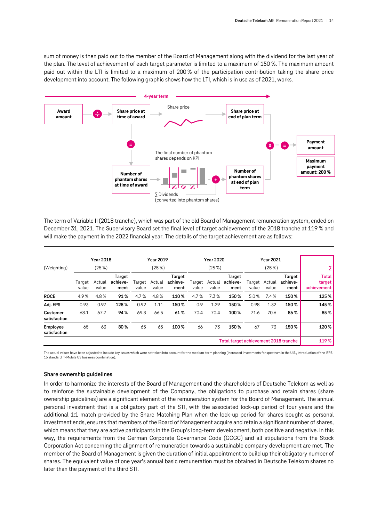sum of money is then paid out to the member of the Board of Management along with the dividend for the last year of the plan. The level of achievement of each target parameter is limited to a maximum of 150 %. The maximum amount paid out within the LTI is limited to a maximum of 200 % of the participation contribution taking the share price development into account. The following graphic shows how the LTI, which is in use as of 2021, works.



The term of Variable II (2018 tranche), which was part of the old Board of Management remuneration system, ended on December 31, 2021. The Supervisory Board set the final level of target achievement of the 2018 tranche at 119 % and will make the payment in the 2022 financial year. The details of the target achievement are as follows:

| (Weighting)              |                 | <b>Year 2018</b><br>(25%) |                            |                 | <b>Year 2019</b><br>(25%) |                            |                 | Year 2020<br>(25%) |                                       |                 | <b>Year 2021</b><br>(25%) |                            |                                       |
|--------------------------|-----------------|---------------------------|----------------------------|-----------------|---------------------------|----------------------------|-----------------|--------------------|---------------------------------------|-----------------|---------------------------|----------------------------|---------------------------------------|
|                          | Target<br>value | Actual<br>value           | Target<br>achieve-<br>ment | Target<br>value | Actual<br>value           | Target<br>achieve-<br>ment | Tarqet<br>value | Actual<br>value    | Target<br>achieve-<br>ment            | Target<br>value | Actual<br>value           | Target<br>achieve-<br>ment | <b>Total</b><br>target<br>achievement |
| <b>ROCE</b>              | 4.9%            | 4.8%                      | 91%                        | 4.7%            | 4.8%                      | 110%                       | 4.7%            | 7.3%               | 150%                                  | 5.0%            | 7.4%                      | 150%                       | 125%                                  |
| Adj. EPS                 | 0.93            | 0.97                      | 128%                       | 0.92            | 1.11                      | 150%                       | 0.9             | 1.29               | 150%                                  | 0.98            | 1.32                      | 150%                       | 145%                                  |
| Customer<br>satisfaction | 68.1            | 67.7                      | 94%                        | 69.3            | 66.5                      | 61%                        | 70.4            | 70.4               | 100%                                  | 71.6            | 70.6                      | 86%                        | 85%                                   |
| Employee<br>satisfaction | 65              | 63                        | 80%                        | 65              | 65                        | 100%                       | 66              | 73                 | 150%                                  | 67              | 73                        | 150%                       | 120%                                  |
|                          |                 |                           |                            |                 |                           |                            |                 |                    | Total target achievement 2018 tranche |                 |                           |                            | 119%                                  |

The actual values have been adjusted to include key issues which were not taken into account for the medium-term planning (increased investments for spectrum in the U.S., introduction of the IFRS-16 standard, T-Mobile US business combination).

#### **Share ownership guidelines**

In order to harmonize the interests of the Board of Management and the shareholders of Deutsche Telekom as well as to reinforce the sustainable development of the Company, the obligations to purchase and retain shares (share ownership guidelines) are a significant element of the remuneration system for the Board of Management. The annual personal investment that is a obligatory part of the STI, with the associated lock-up period of four years and the additional 1:1 match provided by the Share Matching Plan when the lock-up period for shares bought as personal investment ends, ensures that members of the Board of Management acquire and retain a significant number of shares, which means that they are active participants in the Group's long-term development, both positive and negative. In this way, the requirements from the German Corporate Governance Code (GCGC) and all stipulations from the Stock Corporation Act concerning the alignment of remuneration towards a sustainable company development are met. The member of the Board of Management is given the duration of initial appointment to build up their obligatory number of shares. The equivalent value of one year's annual basic remuneration must be obtained in Deutsche Telekom shares no later than the payment of the third STI.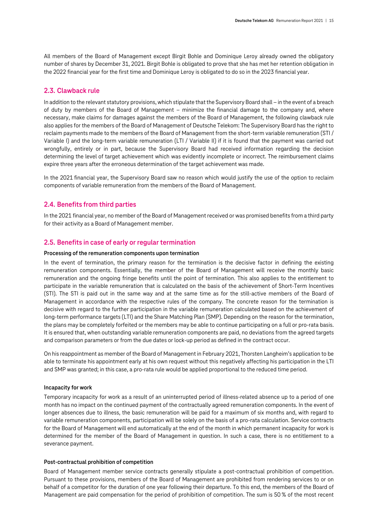All members of the Board of Management except Birgit Bohle and Dominique Leroy already owned the obligatory number of shares by December 31, 2021. Birgit Bohle is obligated to prove that she has met her retention obligation in the 2022 financial year for the first time and Dominique Leroy is obligated to do so in the 2023 financial year.

#### <span id="page-14-0"></span>**2.3. Clawback rule**

In addition to the relevant statutory provisions, which stipulate that the Supervisory Board shall – in the event of a breach of duty by members of the Board of Management – minimize the financial damage to the company and, where necessary, make claims for damages against the members of the Board of Management, the following clawback rule also applies for the members of the Board of Management of Deutsche Telekom: The Supervisory Board has the right to reclaim payments made to the members of the Board of Management from the short-term variable remuneration (STI / Variable I) and the long-term variable remuneration (LTI / Variable II) if it is found that the payment was carried out wrongfully, entirely or in part, because the Supervisory Board had received information regarding the decision determining the level of target achievement which was evidently incomplete or incorrect. The reimbursement claims expire three years after the erroneous determination of the target achievement was made.

In the 2021 financial year, the Supervisory Board saw no reason which would justify the use of the option to reclaim components of variable remuneration from the members of the Board of Management.

#### <span id="page-14-1"></span>**2.4. Benefits from third parties**

In the 2021 financial year, no member of the Board of Management received or was promised benefits from a third party for their activity as a Board of Management member.

### <span id="page-14-2"></span>**2.5. Benefits in case of early or regular termination**

#### **Processing of the remuneration components upon termination**

In the event of termination, the primary reason for the termination is the decisive factor in defining the existing remuneration components. Essentially, the member of the Board of Management will receive the monthly basic remuneration and the ongoing fringe benefits until the point of termination. This also applies to the entitlement to participate in the variable remuneration that is calculated on the basis of the achievement of Short-Term Incentives (STI). The STI is paid out in the same way and at the same time as for the still-active members of the Board of Management in accordance with the respective rules of the company. The concrete reason for the termination is decisive with regard to the further participation in the variable remuneration calculated based on the achievement of long-term performance targets (LTI) and the Share Matching Plan (SMP). Depending on the reason for the termination, the plans may be completely forfeited or the members may be able to continue participating on a full or pro-rata basis. It is ensured that, when outstanding variable remuneration components are paid, no deviations from the agreed targets and comparison parameters or from the due dates or lock-up period as defined in the contract occur.

On his reappointment as member of the Board of Management in February 2021, Thorsten Langheim's application to be able to terminate his appointment early at his own request without this negatively affecting his participation in the LTI and SMP was granted; in this case, a pro-rata rule would be applied proportional to the reduced time period.

#### **Incapacity for work**

Temporary incapacity for work as a result of an uninterrupted period of illness-related absence up to a period of one month has no impact on the continued payment of the contractually agreed remuneration components. In the event of longer absences due to illness, the basic remuneration will be paid for a maximum of six months and, with regard to variable remuneration components, participation will be solely on the basis of a pro-rata calculation. Service contracts for the Board of Management will end automatically at the end of the month in which permanent incapacity for work is determined for the member of the Board of Management in question. In such a case, there is no entitlement to a severance payment.

#### **Post-contractual prohibition of competition**

Board of Management member service contracts generally stipulate a post-contractual prohibition of competition. Pursuant to these provisions, members of the Board of Management are prohibited from rendering services to or on behalf of a competitor for the duration of one year following their departure. To this end, the members of the Board of Management are paid compensation for the period of prohibition of competition. The sum is 50 % of the most recent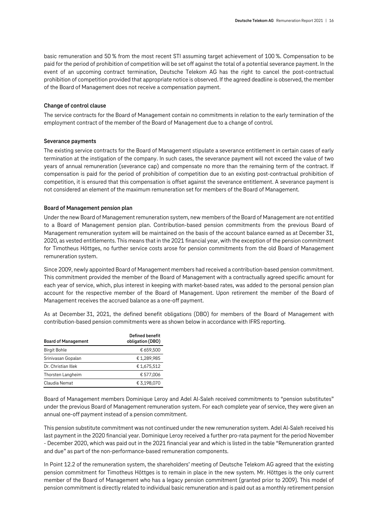basic remuneration and 50 % from the most recent STI assuming target achievement of 100 %. Compensation to be paid for the period of prohibition of competition will be set off against the total of a potential severance payment. In the event of an upcoming contract termination, Deutsche Telekom AG has the right to cancel the post-contractual prohibition of competition provided that appropriate notice is observed. If the agreed deadline is observed, the member of the Board of Management does not receive a compensation payment.

#### **Change of control clause**

The service contracts for the Board of Management contain no commitments in relation to the early termination of the employment contract of the member of the Board of Management due to a change of control.

#### **Severance payments**

The existing service contracts for the Board of Management stipulate a severance entitlement in certain cases of early termination at the instigation of the company. In such cases, the severance payment will not exceed the value of two years of annual remuneration (severance cap) and compensate no more than the remaining term of the contract. If compensation is paid for the period of prohibition of competition due to an existing post-contractual prohibition of competition, it is ensured that this compensation is offset against the severance entitlement. A severance payment is not considered an element of the maximum remuneration set for members of the Board of Management.

#### **Board of Management pension plan**

Under the new Board of Management remuneration system, new members of the Board of Management are not entitled to a Board of Management pension plan. Contribution-based pension commitments from the previous Board of Management remuneration system will be maintained on the basis of the account balance earned as at December 31, 2020, as vested entitlements. This means that in the 2021 financial year, with the exception of the pension commitment for Timotheus Höttges, no further service costs arose for pension commitments from the old Board of Management remuneration system.

Since 2009, newly appointed Board of Management members had received a contribution-based pension commitment. This commitment provided the member of the Board of Management with a contractually agreed specific amount for each year of service, which, plus interest in keeping with market-based rates, was added to the personal pension plan account for the respective member of the Board of Management. Upon retirement the member of the Board of Management receives the accrued balance as a one-off payment.

As at December 31, 2021, the defined benefit obligations (DBO) for members of the Board of Management with contribution-based pension commitments were as shown below in accordance with IFRS reporting.

| <b>Board of Management</b> | <b>Defined benefit</b><br>obligation (DBO) |
|----------------------------|--------------------------------------------|
| <b>Birgit Bohle</b>        | € 659,500                                  |
| Srinivasan Gopalan         | €1,289,985                                 |
| Dr. Christian Illek        | €1,675,512                                 |
| Thorsten Langheim          | € 577,006                                  |
| Claudia Nemat              | € 3.198.070                                |

Board of Management members Dominique Leroy and Adel Al-Saleh received commitments to "pension substitutes" under the previous Board of Management remuneration system. For each complete year of service, they were given an annual one-off payment instead of a pension commitment.

This pension substitute commitment was not continued under the new remuneration system. Adel Al-Saleh received his last payment in the 2020 financial year. Dominique Leroy received a further pro-rata payment for the period November - December 2020, which was paid out in the 2021 financial year and which is listed in the table "Remuneration granted and due" as part of the non-performance-based remuneration components.

In Point 12.2 of the remuneration system, the shareholders' meeting of Deutsche Telekom AG agreed that the existing pension commitment for Timotheus Höttges is to remain in place in the new system. Mr. Höttges is the only current member of the Board of Management who has a legacy pension commitment (granted prior to 2009). This model of pension commitment is directly related to individual basic remuneration and is paid out as a monthly retirement pension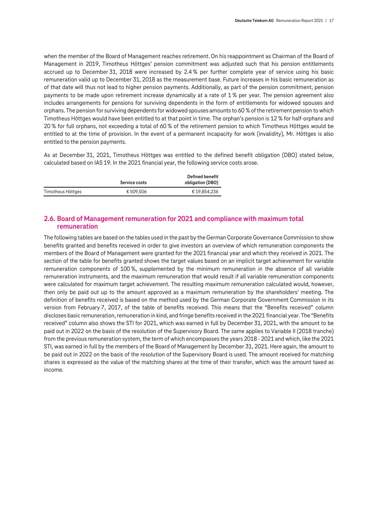when the member of the Board of Management reaches retirement. On his reappointment as Chairman of the Board of Management in 2019, Timotheus Höttges' pension commitment was adjusted such that his pension entitlements accrued up to December 31, 2018 were increased by 2.4 % per further complete year of service using his basic remuneration valid up to December 31, 2018 as the measurement base. Future increases in his basic remuneration as of that date will thus not lead to higher pension payments. Additionally, as part of the pension commitment, pension payments to be made upon retirement increase dynamically at a rate of 1 % per year. The pension agreement also includes arrangements for pensions for surviving dependents in the form of entitlements for widowed spouses and orphans. The pension for surviving dependents for widowed spouses amounts to 60 % of the retirement pension to which Timotheus Höttges would have been entitled to at that point in time. The orphan's pension is 12 % for half-orphans and 20 % for full orphans, not exceeding a total of 60 % of the retirement pension to which Timotheus Höttges would be entitled to at the time of provision. In the event of a permanent incapacity for work (invalidity), Mr. Höttges is also entitled to the pension payments.

As at December 31, 2021, Timotheus Höttges was entitled to the defined benefit obligation (DBO) stated below, calculated based on IAS 19. In the 2021 financial year, the following service costs arose.

|                   | <b>Service costs</b> | Defined benefit<br>obligation (DBO) |
|-------------------|----------------------|-------------------------------------|
| Timotheus Höttges | € 509.506            | €19,854,236                         |

## <span id="page-16-0"></span>**2.6. Board of Management remuneration for 2021 and compliance with maximum total remuneration**

The following tables are based on the tables used in the past by the German Corporate Governance Commission to show benefits granted and benefits received in order to give investors an overview of which remuneration components the members of the Board of Management were granted for the 2021 financial year and which they received in 2021. The section of the table for benefits granted shows the target values based on an implicit target achievement for variable remuneration components of 100 %, supplemented by the minimum remuneration in the absence of all variable remuneration instruments, and the maximum remuneration that would result if all variable remuneration components were calculated for maximum target achievement. The resulting maximum remuneration calculated would, however, then only be paid out up to the amount approved as a maximum remuneration by the shareholders' meeting. The definition of benefits received is based on the method used by the German Corporate Government Commission in its version from February 7, 2017, of the table of benefits received. This means that the "Benefits received" column discloses basic remuneration, remuneration in kind, and fringe benefits received in the 2021 financial year. The "Benefits received" column also shows the STI for 2021, which was earned in full by December 31, 2021, with the amount to be paid out in 2022 on the basis of the resolution of the Supervisory Board. The same applies to Variable II (2018 tranche) from the previous remuneration system, the term of which encompasses the years 2018 - 2021 and which, like the 2021 STI, was earned in full by the members of the Board of Management by December 31, 2021. Here again, the amount to be paid out in 2022 on the basis of the resolution of the Supervisory Board is used. The amount received for matching shares is expressed as the value of the matching shares at the time of their transfer, which was the amount taxed as income.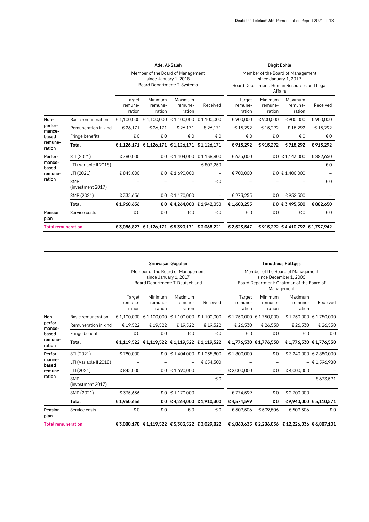Member of the Board of Management

|                           |                                 |                             | Board Department: T-Systems                 | since January 1, 2018        |                          |                             | since January 1, 2019<br>Affairs | Board Department: Human Resources and Legal |           |
|---------------------------|---------------------------------|-----------------------------|---------------------------------------------|------------------------------|--------------------------|-----------------------------|----------------------------------|---------------------------------------------|-----------|
|                           |                                 | Target<br>remune-<br>ration | Minimum<br>remune-<br>ration                | Maximum<br>remune-<br>ration | Received                 | Target<br>remune-<br>ration | Minimum<br>remune-<br>ration     | Maximum<br>remune-<br>ration                | Received  |
| Non-                      | Basic remuneration              |                             | € 1,100,000 € 1,100,000                     |                              | € 1,100,000 € 1,100,000  | € 900,000                   | € 900,000                        | € 900,000                                   | € 900,000 |
| perfor-<br>mance-         | Remuneration in kind            | € 26,171                    | € 26,171                                    | € 26,171                     | € 26,171                 | € 15,292                    | € 15,292                         | € 15,292                                    | € 15,292  |
| based                     | Fringe benefits                 | €0                          | €0                                          | €0                           | €0                       | €0                          | €0                               | €0                                          | €0        |
| remune-<br>ration         | Total                           |                             | €1,126,171 €1,126,171 €1,126,171 €1,126,171 |                              |                          | €915,292                    | €915,292                         | €915,292                                    | €915,292  |
| Perfor-                   | STI (2021)                      | €780,000                    |                                             |                              | €0 €1,404,000 €1,138,800 | € 635,000                   |                                  | €0 €1,143,000                               | €882,650  |
| mance-<br>based           | LTI (Variable II 2018)          |                             |                                             |                              | € 803,250                |                             |                                  |                                             | €0        |
| remune-                   | LTI (2021)                      | €845,000                    |                                             | €0 €1,690,000                |                          | €700,000                    |                                  | € 0 € 1,400,000                             |           |
| ration                    | <b>SMP</b><br>(investment 2017) |                             |                                             |                              | €0                       |                             |                                  |                                             | €0        |
|                           | SMP (2021)                      | € 335,656                   |                                             | €0 €1,170,000                |                          | € 273,255                   | €0                               | €952,500                                    |           |
|                           | Total                           | €1,960,656                  |                                             |                              | €0 €4,264,000 €1,942,050 | €1,608,255                  |                                  | € 0 € 3,495,500                             | €882,650  |
| Pension<br>plan           | Service costs                   | €0                          | €0                                          | €0                           | €0                       | €0                          | € 0                              | €0                                          | €0        |
| <b>Total remuneration</b> |                                 |                             | €3,086,827 €1,126,171 €5,390,171 €3,068,221 |                              |                          | € 2,523,547                 | €915,292 €4,410,792 €1,797,942   |                                             |           |

Member of the Board of Management

**Adel Al-Saleh Birgit Bohle**

|                           |                                 |                             | Srinivasan Gopalan                                                                            |                              |                          |                                                                                                                         |                              | <b>Timotheus Höttges</b>                         |                         |  |
|---------------------------|---------------------------------|-----------------------------|-----------------------------------------------------------------------------------------------|------------------------------|--------------------------|-------------------------------------------------------------------------------------------------------------------------|------------------------------|--------------------------------------------------|-------------------------|--|
|                           |                                 |                             | Member of the Board of Management<br>since January 1, 2017<br>Board Department: T-Deutschland |                              |                          | Member of the Board of Management<br>since December 1, 2006<br>Board Department: Chairman of the Board of<br>Management |                              |                                                  |                         |  |
|                           |                                 | Target<br>remune-<br>ration | Minimum<br>remune-<br>ration                                                                  | Maximum<br>remune-<br>ration | Received                 | Target<br>remune-<br>ration                                                                                             | Minimum<br>remune-<br>ration | Maximum<br>remune-<br>ration                     | Received                |  |
| Non-                      | Basic remuneration              |                             | € 1,100,000 € 1,100,000 € 1,100,000 € 1,100,000                                               |                              |                          |                                                                                                                         | € 1,750,000 € 1,750,000      |                                                  | €1.750.000 €1.750.000   |  |
| perfor-<br>mance-         | Remuneration in kind            | €19,522                     | €19,522                                                                                       | €19,522                      | € 19,522                 | € 26,530                                                                                                                | € 26,530                     | € 26,530                                         | € 26,530                |  |
| based                     | Fringe benefits                 | €0                          | €0                                                                                            | €0                           | €0                       | €0                                                                                                                      | €0                           | €0                                               | €0                      |  |
| remune-<br>ration         | Total                           |                             | €1,119,522 €1,119,522 €1,119,522 €1,119,522                                                   |                              |                          |                                                                                                                         | €1,776,530 €1,776,530        | €1,776,530 €1,776,530                            |                         |  |
| Perfor-                   | STI (2021)                      | €780,000                    |                                                                                               | €0 €1,404,000                | €1,255,800               | € 1,800,000                                                                                                             | €0                           |                                                  | € 3,240,000 € 2,880,000 |  |
| mance-<br>based           | LTI (Variable II 2018)          |                             |                                                                                               |                              | € 654,500                |                                                                                                                         |                              |                                                  | $-$ € 1,596,980         |  |
| remune-                   | LTI (2021)                      | €845,000                    |                                                                                               | €0 €1,690,000                | $\overline{\phantom{0}}$ | € 2,000,000                                                                                                             | €0                           | €4,000,000                                       |                         |  |
| ration                    | <b>SMP</b><br>(investment 2017) |                             |                                                                                               |                              | €0                       |                                                                                                                         |                              |                                                  | € 633,591               |  |
|                           | SMP (2021)                      | € 335,656                   |                                                                                               | €0 €1,170,000                |                          | €774,599                                                                                                                | €0                           | € 2,700,000                                      |                         |  |
|                           | Total                           | €1,960,656                  | €O                                                                                            |                              | €4,264,000 €1,910,300    | €4,574,599                                                                                                              | €Ο                           | €9,940,000 €5,110,571                            |                         |  |
| Pension<br>plan           | Service costs                   | €0                          | € 0                                                                                           | €0                           | €0                       | € 509.506                                                                                                               | € 509.506                    | € 509.506                                        | €0                      |  |
| <b>Total remuneration</b> |                                 |                             | €3,080,178 €1,119,522 €5,383,522 €3,029,822                                                   |                              |                          |                                                                                                                         |                              | € 6,860,635 € 2,286,036 € 12,226,036 € 6,887,101 |                         |  |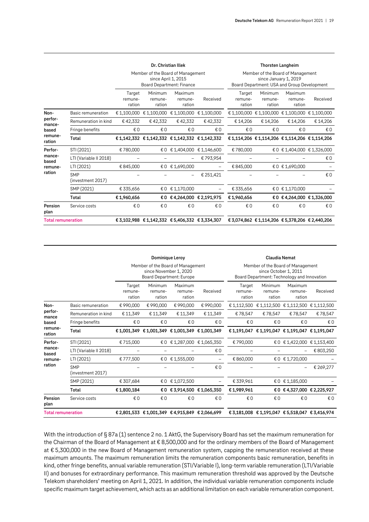|                           |                                 |                             | Dr. Christian Illek                                                                   |                              |                                             |                                                                                                           | <b>Thorsten Langheim</b>                    |                              |                                                 |  |
|---------------------------|---------------------------------|-----------------------------|---------------------------------------------------------------------------------------|------------------------------|---------------------------------------------|-----------------------------------------------------------------------------------------------------------|---------------------------------------------|------------------------------|-------------------------------------------------|--|
|                           |                                 |                             | Member of the Board of Management<br>since April 1, 2015<br>Board Department: Finance |                              |                                             | Member of the Board of Management<br>since January 1, 2019<br>Board Department: USA and Group Development |                                             |                              |                                                 |  |
|                           |                                 | Target<br>remune-<br>ration | Minimum<br>remune-<br>ration                                                          | Maximum<br>remune-<br>ration | Received                                    | Target<br>remune-<br>ration                                                                               | Minimum<br>remune-<br>ration                | Maximum<br>remune-<br>ration | Received                                        |  |
| Non-                      | Basic remuneration              | € 1,100,000                 | € 1,100,000                                                                           | € 1,100,000                  | € 1,100,000                                 |                                                                                                           |                                             |                              | € 1,100,000 € 1,100,000 € 1,100,000 € 1,100,000 |  |
| perfor-<br>mance-         | Remuneration in kind            | €42,332                     | €42,332                                                                               | €42,332                      | €42,332                                     | € 14,206                                                                                                  | €14,206                                     | € 14,206                     | € 14,206                                        |  |
| based                     | Fringe benefits                 | €0                          | €0                                                                                    | €0                           | €0                                          | €0                                                                                                        | €0                                          | €0                           | €0                                              |  |
| remune-<br>ration         | Total                           |                             |                                                                                       |                              | €1,142,332 €1,142,332 €1,142,332 €1,142,332 |                                                                                                           | €1,114,206 €1,114,206 €1,114,206 €1,114,206 |                              |                                                 |  |
| Perfor-                   | STI (2021)                      | €780,000                    | €0                                                                                    | € 1,404,000                  | € 1,146,600                                 | €780,000                                                                                                  |                                             |                              | € 0 € 1,404,000 € 1,326,000                     |  |
| mance-<br>based           | LTI (Variable II 2018)          |                             |                                                                                       |                              | €793,954                                    |                                                                                                           |                                             |                              | €0                                              |  |
| remune-                   | LTI (2021)                      | €845,000                    | €0                                                                                    | €1,690,000                   |                                             | €845,000                                                                                                  |                                             | €0 €1,690,000                |                                                 |  |
| ration                    | <b>SMP</b><br>(investment 2017) |                             |                                                                                       |                              | € 251,421                                   |                                                                                                           |                                             |                              | € 0                                             |  |
|                           | SMP (2021)                      | € 335,656                   | €0                                                                                    | € 1,170,000                  |                                             | € 335,656                                                                                                 |                                             | € 0 € 1,170,000              |                                                 |  |
|                           | <b>Total</b>                    | €1,960,656                  | €O                                                                                    |                              | €4,264,000 €2,191,975                       | €1,960,656                                                                                                |                                             |                              | €0 €4,264,000 €1,326,000                        |  |
| Pension<br>plan           | Service costs                   | €0                          | € 0                                                                                   | €0                           | € 0                                         | $\n  E$                                                                                                   | €0                                          | €0                           | €0                                              |  |
| <b>Total remuneration</b> |                                 |                             | € 3,102,988 € 1,142,332 € 5,406,332 € 3,334,307                                       |                              |                                             | €3,074,862 €1,114,206 €5,378,206 €2,440,206                                                               |                                             |                              |                                                 |  |

|                           |                                 |                             | Dominique Leroy                                                                         |                              |                          | <b>Claudia Nemat</b>                                                                                      |                              |                                             |             |  |  |
|---------------------------|---------------------------------|-----------------------------|-----------------------------------------------------------------------------------------|------------------------------|--------------------------|-----------------------------------------------------------------------------------------------------------|------------------------------|---------------------------------------------|-------------|--|--|
|                           |                                 |                             | Member of the Board of Management<br>since November 1, 2020<br>Board Department: Europe |                              |                          | Member of the Board of Management<br>since October 1, 2011<br>Board Department: Technology and Innovation |                              |                                             |             |  |  |
|                           |                                 | Target<br>remune-<br>ration | Minimum<br>remune-<br>ration                                                            | Maximum<br>remune-<br>ration | Received                 | Target<br>remune-<br>ration                                                                               | Minimum<br>remune-<br>ration | Maximum<br>remune-<br>ration                | Received    |  |  |
| Non-                      | Basic remuneration              | €990,000                    | € 990,000                                                                               | €990,000                     | €990,000                 | € 1,112,500                                                                                               |                              | € 1,112,500 € 1,112,500 € 1,112,500         |             |  |  |
| perfor-<br>mance          | Remuneration in kind            | € 11,349                    | € 11,349                                                                                | € 11,349                     | € 11,349                 | €78,547                                                                                                   | €78,547                      | €78,547                                     | €78,547     |  |  |
| based                     | Fringe benefits                 | €0                          | €0                                                                                      | €0                           | €0                       | €0                                                                                                        | €0                           | €0                                          | €0          |  |  |
| remune-<br>ration         | Total                           |                             | €1,001,349 €1,001,349 €1,001,349 €1,001,349                                             |                              |                          |                                                                                                           |                              | €1,191,047 €1,191,047 €1,191,047 €1,191,047 |             |  |  |
| Perfor-                   | STI (2021)                      | €715,000                    | € O                                                                                     |                              | € 1,287,000 € 1,065,350  | €790,000                                                                                                  |                              | €0 €1,422,000                               | € 1,153,400 |  |  |
| mance-<br>based           | LTI (Variable II 2018)          |                             |                                                                                         |                              | €0                       |                                                                                                           |                              |                                             | € 803,250   |  |  |
| remune-                   | LTI (2021)                      | €777.500                    |                                                                                         | €0 €1,555,000                | $\overline{\phantom{m}}$ | € 860,000                                                                                                 |                              | €0 €1,720,000                               |             |  |  |
| ration                    | <b>SMP</b><br>(investment 2017) |                             |                                                                                         |                              | €0                       |                                                                                                           |                              |                                             | € 269,277   |  |  |
|                           | SMP (2021)                      | € 307,684                   |                                                                                         | €0 €1,072,500                |                          | € 339.961                                                                                                 |                              | €0 €1,185,000                               |             |  |  |
|                           | Total                           | €1,800,184                  |                                                                                         | €0 €3,914,500 €1,065,350     |                          | €1,989,961                                                                                                |                              | €0 €4,327,000 €2,225,927                    |             |  |  |
| Pension<br>plan           | Service costs                   | €0                          | €0                                                                                      | €0                           | €0                       | €0                                                                                                        | € 0                          |                                             |             |  |  |
| <b>Total remuneration</b> |                                 |                             | € 2,801,533 € 1,001,349 € 4,915,849 € 2,066,699                                         |                              |                          |                                                                                                           |                              | €3,181,008 €1,191,047 €5,518,047 €3,416,974 |             |  |  |

With the introduction of § 87a (1) sentence 2 no. 1 AktG, the Supervisory Board has set the maximum remuneration for the Chairman of the Board of Management at € 8,500,000 and for the ordinary members of the Board of Management at € 5,300,000 in the new Board of Management remuneration system, capping the remuneration received at these maximum amounts. The maximum remuneration limits the remuneration components basic remuneration, benefits in kind, other fringe benefits, annual variable remuneration (STI/Variable I), long-term variable remuneration (LTI/Variable II) and bonuses for extraordinary performance. This maximum remuneration threshold was approved by the Deutsche Telekom shareholders' meeting on April 1, 2021. In addition, the individual variable remuneration components include specific maximum target achievement, which acts as an additional limitation on each variable remuneration component.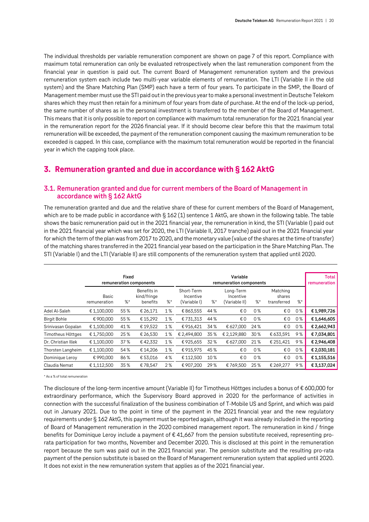The individual thresholds per variable remuneration component are shown on page 7 of this report. Compliance with maximum total remuneration can only be evaluated retrospectively when the last remuneration component from the financial year in question is paid out. The current Board of Management remuneration system and the previous remuneration system each include two multi-year variable elements of remuneration. The LTI (Variable II in the old system) and the Share Matching Plan (SMP) each have a term of four years. To participate in the SMP, the Board of Management member must use the STI paid out in the previous year to make a personal investment in Deutsche Telekom shares which they must then retain for a minimum of four years from date of purchase. At the end of the lock-up period, the same number of shares as in the personal investment is transferred to the member of the Board of Management. This means that it is only possible to report on compliance with maximum total remuneration for the 2021 financial year in the remuneration report for the 2026 financial year. If it should become clear before this that the maximum total remuneration will be exceeded, the payment of the remuneration component causing the maximum remuneration to be exceeded is capped. In this case, compliance with the maximum total remuneration would be reported in the financial year in which the capping took place.

# <span id="page-19-0"></span>**3. Remuneration granted and due in accordance with § 162 AktG**

## <span id="page-19-1"></span>**3.1. Remuneration granted and due for current members of the Board of Management in accordance with § 162 AktG**

The remuneration granted and due and the relative share of these for current members of the Board of Management, which are to be made public in accordance with § 162 (1) sentence 1 AktG, are shown in the following table. The table shows the basic remuneration paid out in the 2021 financial year, the remuneration in kind, the STI (Variable I) paid out in the 2021 financial year which was set for 2020, the LTI (Variable II, 2017 tranche) paid out in the 2021 financial year for which the term of the plan was from 2017 to 2020, and the monetary value (value of the shares at the time of transfer) of the matching shares transferred in the 2021 financial year based on the participation in the Share Matching Plan. The STI (Variable I) and the LTI (Variable II) are still components of the remuneration system that applied until 2020.

|                     |                              | <b>Fixed</b> | remuneration components                |    |                                         | Variable<br>remuneration components |                                         |         |                                   |       |             |  |  |
|---------------------|------------------------------|--------------|----------------------------------------|----|-----------------------------------------|-------------------------------------|-----------------------------------------|---------|-----------------------------------|-------|-------------|--|--|
|                     | <b>Basic</b><br>remuneration | $%^*$        | Benefits in<br>kind/fringe<br>benefits | %  | Short-Term<br>Incentive<br>(Variable I) | $\%^*$                              | Long-Term<br>Incentive<br>(Variable II) | $%$ $*$ | Matching<br>shares<br>transferred | $%$ * |             |  |  |
| Adel Al-Saleh       | € 1,100,000                  | 55%          | € 26,171                               | 1% | €863,555                                | 44 %                                | €0                                      | 0%      | €0                                | 0%    | €1,989,726  |  |  |
| <b>Birgit Bohle</b> | € 900,000                    | 55%          | € 15,292                               | 1% | €731,313                                | 44 %                                | €0                                      | 0%      | €0                                | 0%    | €1,646,605  |  |  |
| Srinivasan Gopalan  | € 1,100,000                  | 41%          | €19,522                                | 1% | €916,421                                | 34 %                                | € 627,000                               | 24 %    | €0                                | 0%    | €2,662,943  |  |  |
| Timotheus Höttges   | €1,750,000                   | 25%          | € 26,530                               | 1% | € 2.494.800                             | 35%                                 | € 2,129,880                             | 30%     | € 633,591                         | 9%    | €7,034,801  |  |  |
| Dr. Christian Illek | € 1,100,000                  | 37%          | €42,332                                | 1% | €925,655                                | 32%                                 | € 627,000                               | 21%     | € 251,421                         | 9%    | € 2,946,408 |  |  |
| Thorsten Langheim   | € 1,100,000                  | 54%          | €14,206                                | 1% | €915,975                                | 45%                                 | €0                                      | 0%      | €0                                | 0%    | € 2,030,181 |  |  |
| Dominique Leroy     | €990,000                     | 86%          | € 53,016                               | 4% | € 112,500                               | 10%                                 | €0                                      | 0%      | €0                                | 0%    | €1,155,516  |  |  |
| Claudia Nemat       | € 1,112,500                  | 35%          | €78,547                                | 2% | € 907.200                               | 29 %                                | €769.500                                | 25%     | € 269.277                         | 9%    | € 3.137.024 |  |  |

\* As a % of total remuneration

The disclosure of the long-term incentive amount (Variable II) for Timotheus Höttges includes a bonus of € 600,000 for extraordinary performance, which the Supervisory Board approved in 2020 for the performance of activities in connection with the successful finalization of the business combination of T-Mobile US and Sprint, and which was paid out in January 2021. Due to the point in time of the payment in the 2021 financial year and the new regulatory requirements under § 162 AktG, this payment must be reported again, although it was already included in the reporting of Board of Management remuneration in the 2020 combined management report. The remuneration in kind / fringe benefits for Dominique Leroy include a payment of € 41,667 from the pension substitute received, representing prorata participation for two months, November and December 2020. This is disclosed at this point in the remuneration report because the sum was paid out in the 2021 financial year. The pension substitute and the resulting pro-rata payment of the pension substitute is based on the Board of Management remuneration system that applied until 2020. It does not exist in the new remuneration system that applies as of the 2021 financial year.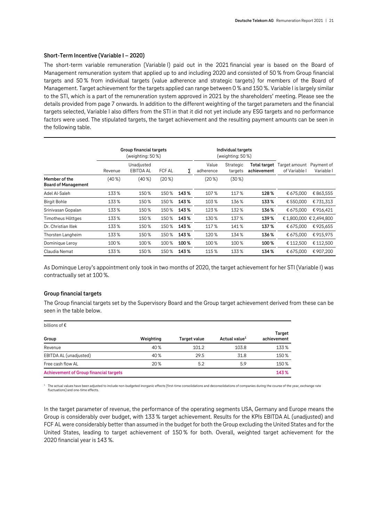#### **Short-Term Incentive (Variable I – 2020)**

The short-term variable remuneration (Variable I) paid out in the 2021 financial year is based on the Board of Management remuneration system that applied up to and including 2020 and consisted of 50 % from Group financial targets and 50 % from individual targets (value adherence and strategic targets) for members of the Board of Management. Target achievement for the targets applied can range between 0 % and 150 %. Variable I is largely similar to the STI, which is a part of the remuneration system approved in 2021 by the shareholders' meeting. Please see the details provided from page 7 onwards. In addition to the different weighting of the target parameters and the financial targets selected, Variable I also differs from the STI in that it did not yet include any ESG targets and no performance factors were used. The stipulated targets, the target achievement and the resulting payment amounts can be seen in the following table.

|                                             |         | Group financial targets<br>(weighting: 50 %) |               |      |                    | Individual targets<br>(weighting: 50 %) |                             |                                |                          |
|---------------------------------------------|---------|----------------------------------------------|---------------|------|--------------------|-----------------------------------------|-----------------------------|--------------------------------|--------------------------|
|                                             | Revenue | Unadjusted<br><b>EBITDA AL</b>               | <b>FCF AL</b> | Σ    | Value<br>adherence | Strategic<br>targets                    | Total target<br>achievement | Target amount<br>of Variable I | Payment of<br>Variable I |
| Member of the<br><b>Board of Management</b> | (40%    | $(40\%)$                                     | $(20\%)$      |      | $(20\%)$           | $(30\%)$                                |                             |                                |                          |
| Adel Al-Saleh                               | 133%    | 150%                                         | 150 %         | 143% | 107%               | 117%                                    | 128%                        | € 675,000                      | €863,555                 |
| <b>Birgit Bohle</b>                         | 133%    | 150%                                         | 150%          | 143% | 103%               | 136%                                    | 133%                        | € 550,000                      | €731,313                 |
| Srinivasan Gopalan                          | 133%    | 150%                                         | 150 %         | 143% | 123%               | 132%                                    | 136%                        | € 675,000                      | €916,421                 |
| Timotheus Höttges                           | 133%    | 150%                                         | 150 %         | 143% | 130%               | 137%                                    | 139%                        | € 1,800,000 € 2,494,800        |                          |
| Dr. Christian Illek                         | 133%    | 150%                                         | 150 %         | 143% | 117%               | 141%                                    | 137%                        | € 675,000                      | €925,655                 |
| Thorsten Langheim                           | 133%    | 150%                                         | 150 %         | 143% | 120%               | 134 %                                   | 136%                        | € 675,000                      | €915,975                 |
| Dominique Leroy                             | 100 %   | 100 %                                        | 100 %         | 100% | 100 %              | 100 %                                   | 100%                        | € 112,500                      | €112,500                 |
| Claudia Nemat                               | 133%    | 150%                                         | 150%          | 143% | 115%               | 133%                                    | 134 %                       | € 675,000                      | €907,200                 |

As Dominque Leroy's appointment only took in two months of 2020, the target achievement for her STI (Variable I) was contractually set at 100 %.

#### **Group financial targets**

The Group financial targets set by the Supervisory Board and the Group target achievement derived from these can be seen in the table below.

| billions of $\epsilon$                        |           |              |                           |                       |
|-----------------------------------------------|-----------|--------------|---------------------------|-----------------------|
| Group                                         | Weighting | Target value | Actual value <sup>1</sup> | Target<br>achievement |
| Revenue                                       | 40%       | 101.2        | 103.8                     | 133%                  |
| EBITDA AL (unadjusted)                        | 40%       | 29.5         | 31.8                      | 150%                  |
| Free cash flow AL                             | 20%       | 5.2          | 5.9                       | 150%                  |
| <b>Achievement of Group financial targets</b> |           |              |                           | 143%                  |

<sup>1</sup> The actual values have been adjusted to include non-budgeted inorganic effects (first-time consolidations and deconsolidations of companies during the course of the year, exchange rate fluctuations) and one-time effects.

In the target parameter of revenue, the performance of the operating segments USA, Germany and Europe means the Group is considerably over budget, with 133 % target achievement. Results for the KPIs EBITDA AL (unadjusted) and FCF AL were considerably better than assumed in the budget for both the Group excluding the United States and for the United States, leading to target achievement of 150 % for both. Overall, weighted target achievement for the 2020 financial year is 143 %.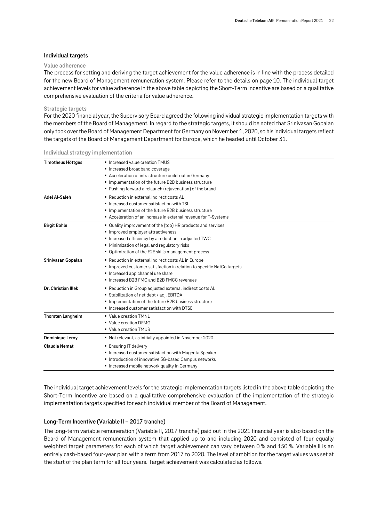#### **Individual targets**

#### **Value adherence**

The process for setting and deriving the target achievement for the value adherence is in line with the process detailed for the new Board of Management remuneration system. Please refer to the details on page 10. The individual target achievement levels for value adherence in the above table depicting the Short-Term Incentive are based on a qualitative comprehensive evaluation of the criteria for value adherence.

#### **Strategic targets**

For the 2020 financial year, the Supervisory Board agreed the following individual strategic implementation targets with the members of the Board of Management. In regard to the strategic targets, it should be noted that Srinivasan Gopalan only took over the Board of Management Department for Germany on November 1, 2020, so his individual targets reflect the targets of the Board of Management Department for Europe, which he headed until October 31.

| <b>Timotheus Höttges</b> | ■ Increased value creation TMUS<br>Increased broadband coverage                                                                                                                                                                                             |
|--------------------------|-------------------------------------------------------------------------------------------------------------------------------------------------------------------------------------------------------------------------------------------------------------|
|                          | Acceleration of infrastructure build-out in Germany<br>Implementation of the future B2B business structure<br>Pushing forward a relaunch (rejuvenation) of the brand                                                                                        |
| Adel Al-Saleh            | ■ Reduction in external indirect costs AL<br>Increased customer satisfaction with TSI<br>Implementation of the future B2B business structure<br>■ Acceleration of an increase in external revenue for T-Systems                                             |
| <b>Birgit Bohle</b>      | ■ Quality improvement of the (top) HR products and services<br>Improved employer attractiveness<br>Increased efficiency by a reduction in adjusted TWC<br>Minimization of legal and regulatory risks<br>• Optimization of the E2E skills management process |
| Srinivasan Gopalan       | ■ Reduction in external indirect costs AL in Europe<br>Improved customer satisfaction in relation to specific NatCo targets<br>Increased app channel use share<br>■ Increased B2B FMC and B2B FMCC revenues                                                 |
| Dr. Christian Illek      | Reduction in Group adjusted external indirect costs AL<br>Stabilization of net debt / adj. EBITDA<br>Implementation of the future B2B business structure<br>Increased customer satisfaction with DTSE                                                       |
| Thorsten Langheim        | ■ Value creation TMNL<br>■ Value creation DFMG<br>■ Value creation TMUS                                                                                                                                                                                     |
| Dominique Leroy          | Not relevant, as initially appointed in November 2020                                                                                                                                                                                                       |
| <b>Claudia Nemat</b>     | ■ Ensuring IT delivery<br>■ Increased customer satisfaction with Magenta Speaker<br>Introduction of innovative 5G-based Campus networks<br>Increased mobile network quality in Germany                                                                      |

**Individual strategy implementation**

The individual target achievement levels for the strategic implementation targets listed in the above table depicting the Short-Term Incentive are based on a qualitative comprehensive evaluation of the implementation of the strategic implementation targets specified for each individual member of the Board of Management.

#### **Long-Term Incentive (Variable II – 2017 tranche)**

The long-term variable remuneration (Variable II, 2017 tranche) paid out in the 2021 financial year is also based on the Board of Management remuneration system that applied up to and including 2020 and consisted of four equally weighted target parameters for each of which target achievement can vary between 0 % and 150 %. Variable II is an entirely cash-based four-year plan with a term from 2017 to 2020. The level of ambition for the target values was set at the start of the plan term for all four years. Target achievement was calculated as follows.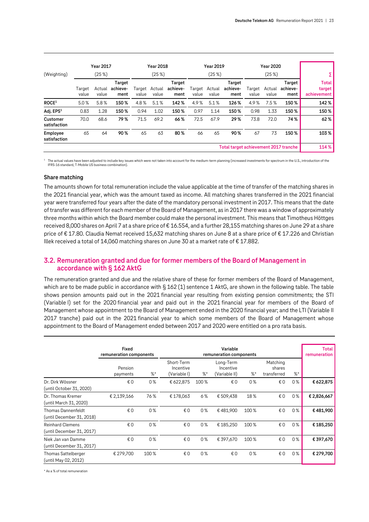| (Weighting)              |                 | <b>Year 2017</b><br>(25%) |                            |       | <b>Year 2018</b><br>(25%) |                            |                 | <b>Year 2019</b><br>(25%) |                                       |                 | <b>Year 2020</b><br>(25%) |                            |                                       |
|--------------------------|-----------------|---------------------------|----------------------------|-------|---------------------------|----------------------------|-----------------|---------------------------|---------------------------------------|-----------------|---------------------------|----------------------------|---------------------------------------|
|                          | Target<br>value | Actual<br>value           | Target<br>achieve-<br>ment | value | Target Actual<br>value    | Target<br>achieve-<br>ment | Target<br>value | Actual<br>value           | Target<br>achieve-<br>ment            | Target<br>value | Actual<br>value           | Target<br>achieve-<br>ment | <b>Total</b><br>target<br>achievement |
| ROCE <sup>1</sup>        | 5.0%            | 5.8%                      | 150%                       | 4.8%  | 5.1%                      | 142%                       | 4.9%            | 5.1%                      | 126%                                  | 4.9%            | 7.5%                      | 150%                       | 142%                                  |
| Adj. EPS <sup>1</sup>    | 0.83            | 1.28                      | 150%                       | 0.94  | 1.02                      | 150%                       | 0.97            | 1.14                      | 150%                                  | 0.98            | 1.33                      | 150%                       | 150%                                  |
| Customer<br>satisfaction | 70.0            | 68.6                      | 79%                        | 71.5  | 69.2                      | 66%                        | 72.5            | 67.9                      | 29%                                   | 73.8            | 72.0                      | 74%                        | 62%                                   |
| Employee<br>satisfaction | 65              | 64                        | 90%                        | 65    | 63                        | 80%                        | 66              | 65                        | 90%                                   | 67              | 73                        | 150%                       | 103%                                  |
|                          |                 |                           |                            |       |                           |                            |                 |                           | Total target achievement 2017 tranche |                 |                           |                            | 114%                                  |

<sup>1</sup> The actual values have been adjusted to include key issues which were not taken into account for the medium-term planning (increased investments for spectrum in the U.S., introduction of the IFRS-16 standard, T-Mobile US business combination).

#### **Share matching**

The amounts shown for total remuneration include the value applicable at the time of transfer of the matching shares in the 2021 financial year, which was the amount taxed as income. All matching shares transferred in the 2021 financial year were transferred four years after the date of the mandatory personal investment in 2017. This means that the date of transfer was different for each member of the Board of Management, as in 2017 there was a window of approximately three months within which the Board member could make the personal investment. This means that Timotheus Höttges received 8,000 shares on April 7 at a share price of € 16.554, and a further 28,155 matching shares on June 29 at a share price of €17.80. Claudia Nemat received 15,632 matching shares on June 8 at a share price of €17.226 and Christian Illek received a total of 14,060 matching shares on June 30 at a market rate of  $\epsilon$  17.882.

# <span id="page-22-0"></span>**3.2. Remuneration granted and due for former members of the Board of Management in accordance with § 162 AktG**

The remuneration granted and due and the relative share of these for former members of the Board of Management, which are to be made public in accordance with § 162 (1) sentence 1 AktG, are shown in the following table. The table shows pension amounts paid out in the 2021 financial year resulting from existing pension commitments; the STI (Variable I) set for the 2020 financial year and paid out in the 2021 financial year for members of the Board of Management whose appointment to the Board of Management ended in the 2020 financial year; and the LTI (Variable II 2017 tranche) paid out in the 2021 financial year to which some members of the Board of Management whose appointment to the Board of Management ended between 2017 and 2020 were entitled on a pro rata basis.

|                                                      | <b>Fixed</b><br>remuneration components |       | <b>Total</b><br>remuneration            |      |                                         |      |                                   |        |             |
|------------------------------------------------------|-----------------------------------------|-------|-----------------------------------------|------|-----------------------------------------|------|-----------------------------------|--------|-------------|
|                                                      | Pension<br>payments                     | $%$ * | Short-Term<br>Incentive<br>(Variable I) | %    | Long-Term<br>Incentive<br>(Variable II) | %    | Matching<br>shares<br>transferred | $\%^*$ |             |
| Dr. Dirk Wössner<br>(until October 31, 2020)         | € 0                                     | 0%    | € 622,875                               | 100% | €0                                      | 0%   | €0                                | $0\%$  | € 622,875   |
| Dr. Thomas Kremer<br>(until March 31, 2020)          | € 2,139,166                             | 76%   | €178,063                                | 6%   | € 509,438                               | 18%  | €O                                | 0%     | € 2,826,667 |
| Thomas Dannenfeldt<br>(until December 31, 2018)      | € 0                                     | 0%    | €0                                      | 0%   | €481,900                                | 100% | €0                                | $0\%$  | €481,900    |
| <b>Reinhard Clemens</b><br>(until December 31, 2017) | € 0                                     | 0%    | €0                                      | 0%   | € 185,250                               | 100% | €0                                | 0%     | €185,250    |
| Niek Jan van Damme<br>(until December 31, 2017)      | €0                                      | 0%    | €0                                      | 0%   | € 397,670                               | 100% | €O                                | 0%     | €397,670    |
| Thomas Sattelberger<br>(until May 02, 2012)          | € 279,700                               | 100%  | €0                                      | 0%   | €0                                      | 0%   | €0                                | 0%     | € 279,700   |

\* As a % of total remuneration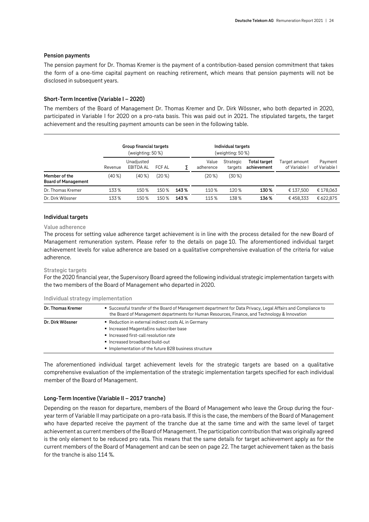#### **Pension payments**

The pension payment for Dr. Thomas Kremer is the payment of a contribution-based pension commitment that takes the form of a one-time capital payment on reaching retirement, which means that pension payments will not be disclosed in subsequent years.

#### **Short-Term Incentive (Variable I – 2020)**

The members of the Board of Management Dr. Thomas Kremer and Dr. Dirk Wössner, who both departed in 2020, participated in Variable I for 2020 on a pro-rata basis. This was paid out in 2021. The stipulated targets, the target achievement and the resulting payment amounts can be seen in the following table.

|                                             | Group financial targets<br>(weighting: 50 %) |                                |        |      |                    | Individual targets<br>(weighting: 50 %) |                                    |                                |                          |
|---------------------------------------------|----------------------------------------------|--------------------------------|--------|------|--------------------|-----------------------------------------|------------------------------------|--------------------------------|--------------------------|
|                                             | Revenue                                      | Unadjusted<br><b>EBITDA AL</b> | FCF AL |      | Value<br>adherence | Strategic<br>targets                    | <b>Total target</b><br>achievement | Target amount<br>of Variable I | Payment<br>of Variable I |
| Member of the<br><b>Board of Management</b> | $(40\%)$                                     | (40%                           | (20%)  |      | (20 <sup>8</sup> ) | $(30\%)$                                |                                    |                                |                          |
| Dr. Thomas Kremer                           | 133%                                         | 150%                           | 150%   | 143% | 110%               | 120 %                                   | 130%                               | € 137.500                      | €178,063                 |
| Dr. Dirk Wössner                            | 133%                                         | 150 %                          | 150 %  | 143% | 115%               | 138%                                    | 136%                               | €458,333                       | € 622.875                |

#### **Individual targets**

#### **Value adherence**

The process for setting value adherence target achievement is in line with the process detailed for the new Board of Management remuneration system. Please refer to the details on page 10. The aforementioned individual target achievement levels for value adherence are based on a qualitative comprehensive evaluation of the criteria for value adherence.

#### **Strategic targets**

For the 2020 financial year, the Supervisory Board agreed the following individual strategic implementation targets with the two members of the Board of Management who departed in 2020.

| Dr. Thomas Kremer | • Successful transfer of the Board of Management department for Data Privacy, Legal Affairs and Compliance to<br>the Board of Management departments for Human Resources, Finance, and Technology & Innovation |
|-------------------|----------------------------------------------------------------------------------------------------------------------------------------------------------------------------------------------------------------|
| Dr. Dirk Wössner  | ■ Reduction in external indirect costs AL in Germany<br>■ Increased MagentaEins subscriber base<br>Increased first-call resolution rate                                                                        |
|                   | Increased broadband build-out<br>Implementation of the future B2B business structure                                                                                                                           |
|                   |                                                                                                                                                                                                                |

**Individual strategy implementation**

The aforementioned individual target achievement levels for the strategic targets are based on a qualitative comprehensive evaluation of the implementation of the strategic implementation targets specified for each individual member of the Board of Management.

#### **Long-Term Incentive (Variable II – 2017 tranche)**

Depending on the reason for departure, members of the Board of Management who leave the Group during the fouryear term of Variable II may participate on a pro-rata basis. If this is the case, the members of the Board of Management who have departed receive the payment of the tranche due at the same time and with the same level of target achievement as current members of the Board of Management. The participation contribution that was originally agreed is the only element to be reduced pro rata. This means that the same details for target achievement apply as for the current members of the Board of Management and can be seen on page 22. The target achievement taken as the basis for the tranche is also 114 %.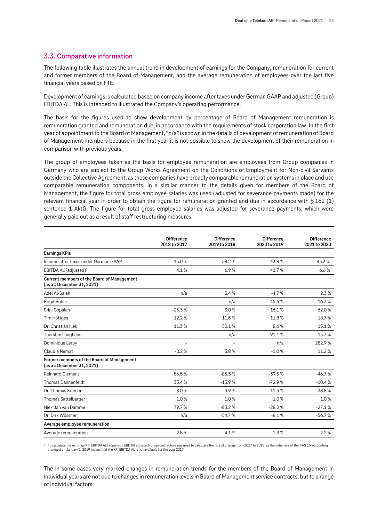#### <span id="page-24-0"></span>**3.3. Comparative information**

The following table illustrates the annual trend in development of earnings for the Company, remuneration for current and former members of the Board of Management, and the average remuneration of employees over the last five financial years based on FTE.

Development of earnings is calculated based on company income after taxes under German GAAP and adjusted (Group) EBITDA AL. This is intended to illustrated the Company's operating performance.

The basis for the figures used to show development by percentage of Board of Management remuneration is remuneration granted and remuneration due, in accordance with the requirements of stock corporation law. In the first year of appointment to the Board of Management, "n/a" is shown in the details of development of remuneration of Board of Management members because in the first year it is not possible to show the development of their remuneration in comparison with previous years.

The group of employees taken as the basis for employee remuneration are employees from Group companies in Germany who are subject to the Group Works Agreement on the Conditions of Employment for Non-civil Servants outside the Collective Agreement, as these companies have broadly comparable remuneration systems in place and use comparable remuneration components. In a similar manner to the details given for members of the Board of Management, the figure for total gross employee salaries was used (adjusted for severance payments made) for the relevant financial year in order to obtain the figure for remuneration granted and due in accordance with § 162 (1) sentence 1 AktG. The figure for total gross employee salaries was adjusted for severance payments, which were generally paid out as a result of staff restructuring measures.

|                                                                                 | <b>Difference</b><br>2018 to 2017 | <b>Difference</b><br>2019 to 2018 | <b>Difference</b><br>2020 to 2019 | <b>Difference</b><br>2021 to 2020 |
|---------------------------------------------------------------------------------|-----------------------------------|-----------------------------------|-----------------------------------|-----------------------------------|
| <b>Earnings KPIs</b>                                                            |                                   |                                   |                                   |                                   |
| Income after taxes under German GAAP                                            | $-15.0%$                          | $-58.2%$                          | 43.8%                             | 43.3%                             |
| EBITDA AL (adjusted) $1$                                                        | 4.1%                              | 6.9%                              | 41.7%                             | 6.6%                              |
| <b>Current members of the Board of Management</b><br>(as at: December 31, 2021) |                                   |                                   |                                   |                                   |
| Adel Al-Saleh                                                                   | n/a                               | 3.4%                              | $-4.7%$                           | 2.3%                              |
| <b>Birgit Bohle</b>                                                             | $\overline{a}$                    | n/a                               | 45.6%                             | 16.3%                             |
| Srini Gopalan                                                                   | $-25.3%$                          | 3.0%                              | 16.1%                             | 62.0%                             |
| Tim Höttges                                                                     | 12.2%                             | 11.5%                             | 11.8%                             | 18.7%                             |
| Dr. Christian Illek                                                             | 11.3%                             | 50.1%                             | 8.6%                              | 15.1%                             |
| Thorsten Langheim                                                               | —                                 | n/a                               | 91.1%                             | 15.7%                             |
| Dominique Leroy                                                                 | $\overline{\phantom{0}}$          | $\overline{\phantom{0}}$          | n/a                               | 282.9%                            |
| Claudia Nemat                                                                   | $-0.2%$                           | 3.8%                              | $-1.0%$                           | 11.2%                             |
| Former members of the Board of Management<br>(as at: December 31, 2021)         |                                   |                                   |                                   |                                   |
| <b>Reinhard Clemens</b>                                                         | 56.5%                             | $-85.3%$                          | $-39.5%$                          | $-46.7%$                          |
| Thomas Dannenfeldt                                                              | 35.4%                             | $-15.9%$                          | $-72.9%$                          | $-10.4%$                          |
| Dr. Thomas Kremer                                                               | 8.0%                              | 3.9%                              | $-11.5%$                          | 38.8%                             |
| Thomas Sattelberger                                                             | 1.0%                              | 1.0%                              | 1.0%                              | 1.0%                              |
| Niek Jan van Damme                                                              | 79.7%                             | $-83.2%$                          | $-28.2%$                          | $-27.1%$                          |
| Dr. Dirk Wössner                                                                | n/a                               | $-54.7%$                          | $-8.1%$                           | $-56.7%$                          |
| Average employee remuneration                                                   |                                   |                                   |                                   |                                   |
| Average remuneration                                                            | 2.8%                              | 4.1%                              | 1.3%                              | 2.2%                              |

<sup>1</sup> To calculate the earnings KPI EBITDA AL (adjusted), EBITDA adjusted for special factors was used to calculate the rate of change from 2017 to 2018, as the initial use of the IFRS 16 accounting standard on January 1, 2019 means that the KPI EBITDA AL is not available for the year 2017.

The in some cases very marked changes in remuneration trends for the members of the Board of Management in individual years are not due to changes in remuneration levels in Board of Management service contracts, but to a range of individual factors: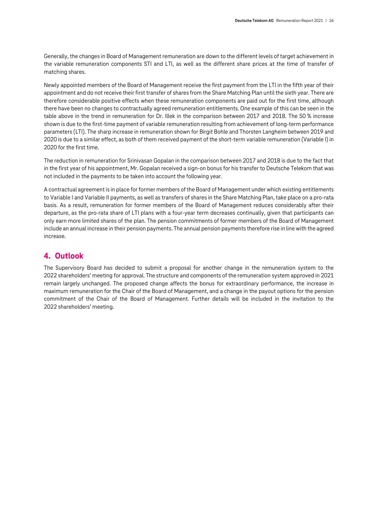Generally, the changes in Board of Management remuneration are down to the different levels of target achievement in the variable remuneration components STI and LTI, as well as the different share prices at the time of transfer of matching shares.

Newly appointed members of the Board of Management receive the first payment from the LTI in the fifth year of their appointment and do not receive their first transfer of shares from the Share Matching Plan until the sixth year. There are therefore considerable positive effects when these remuneration components are paid out for the first time, although there have been no changes to contractually agreed remuneration entitlements. One example of this can be seen in the table above in the trend in remuneration for Dr. Illek in the comparison between 2017 and 2018. The 50 % increase shown is due to the first-time payment of variable remuneration resulting from achievement of long-term performance parameters (LTI). The sharp increase in remuneration shown for Birgit Bohle and Thorsten Langheim between 2019 and 2020 is due to a similar effect, as both of them received payment of the short-term variable remuneration (Variable I) in 2020 for the first time.

The reduction in remuneration for Srinivasan Gopalan in the comparison between 2017 and 2018 is due to the fact that in the first year of his appointment, Mr. Gopalan received a sign-on bonus for his transfer to Deutsche Telekom that was not included in the payments to be taken into account the following year.

A contractual agreement is in place for former members of the Board of Management under which existing entitlements to Variable I and Variable II payments, as well as transfers of shares in the Share Matching Plan, take place on a pro-rata basis. As a result, remuneration for former members of the Board of Management reduces considerably after their departure, as the pro-rata share of LTI plans with a four-year term decreases continually, given that participants can only earn more limited shares of the plan. The pension commitments of former members of the Board of Management include an annual increase in their pension payments. The annual pension payments therefore rise in line with the agreed increase.

# <span id="page-25-0"></span>**4. Outlook**

The Supervisory Board has decided to submit a proposal for another change in the remuneration system to the 2022 shareholders' meeting for approval. The structure and components of the remuneration system approved in 2021 remain largely unchanged. The proposed change affects the bonus for extraordinary performance, the increase in maximum remuneration for the Chair of the Board of Management, and a change in the payout options for the pension commitment of the Chair of the Board of Management. Further details will be included in the invitation to the 2022 shareholders' meeting.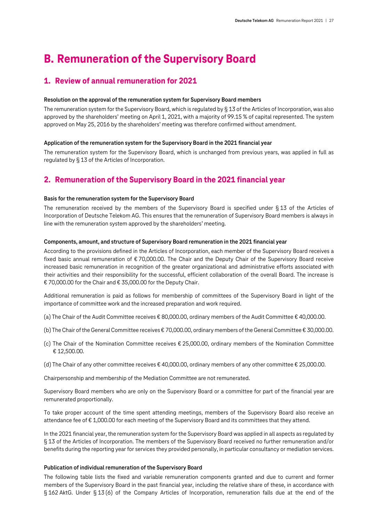# <span id="page-26-0"></span>**B. Remuneration of the Supervisory Board**

# <span id="page-26-1"></span>**1. Review of annual remuneration for 2021**

### **Resolution on the approval of the remuneration system for Supervisory Board members**

The remuneration system for the Supervisory Board, which is regulated by § 13 of the Articles of Incorporation, was also approved by the shareholders' meeting on April 1, 2021, with a majority of 99.15 % of capital represented. The system approved on May 25, 2016 by the shareholders' meeting was therefore confirmed without amendment.

#### **Application of the remuneration system for the Supervisory Board in the 2021 financial year**

The remuneration system for the Supervisory Board, which is unchanged from previous years, was applied in full as regulated by § 13 of the Articles of Incorporation.

# <span id="page-26-2"></span>**2. Remuneration of the Supervisory Board in the 2021 financial year**

#### **Basis for the remuneration system for the Supervisory Board**

The remuneration received by the members of the Supervisory Board is specified under § 13 of the Articles of Incorporation of Deutsche Telekom AG. This ensures that the remuneration of Supervisory Board members is always in line with the remuneration system approved by the shareholders' meeting.

#### **Components, amount, and structure of Supervisory Board remuneration in the 2021 financial year**

According to the provisions defined in the Articles of Incorporation, each member of the Supervisory Board receives a fixed basic annual remuneration of € 70,000.00. The Chair and the Deputy Chair of the Supervisory Board receive increased basic remuneration in recognition of the greater organizational and administrative efforts associated with their activities and their responsibility for the successful, efficient collaboration of the overall Board. The increase is € 70,000.00 for the Chair and € 35,000.00 for the Deputy Chair.

Additional remuneration is paid as follows for membership of committees of the Supervisory Board in light of the importance of committee work and the increased preparation and work required.

- (a) The Chair of the Audit Committee receives € 80,000.00, ordinary members of the Audit Committee € 40,000.00.
- (b) The Chair of the General Committee receives € 70,000.00, ordinary members of the General Committee € 30,000.00.
- (c) The Chair of the Nomination Committee receives € 25,000.00, ordinary members of the Nomination Committee € 12,500.00.
- (d) The Chair of any other committee receives € 40,000.00, ordinary members of any other committee € 25,000.00.

Chairpersonship and membership of the Mediation Committee are not remunerated.

Supervisory Board members who are only on the Supervisory Board or a committee for part of the financial year are remunerated proportionally.

To take proper account of the time spent attending meetings, members of the Supervisory Board also receive an attendance fee of € 1,000.00 for each meeting of the Supervisory Board and its committees that they attend.

In the 2021 financial year, the remuneration system for the Supervisory Board was applied in all aspects as regulated by § 13 of the Articles of Incorporation. The members of the Supervisory Board received no further remuneration and/or benefits during the reporting year for services they provided personally, in particular consultancy or mediation services.

#### **Publication of individual remuneration of the Supervisory Board**

The following table lists the fixed and variable remuneration components granted and due to current and former members of the Supervisory Board in the past financial year, including the relative share of these, in accordance with § 162 AktG. Under § 13 (6) of the Company Articles of Incorporation, remuneration falls due at the end of the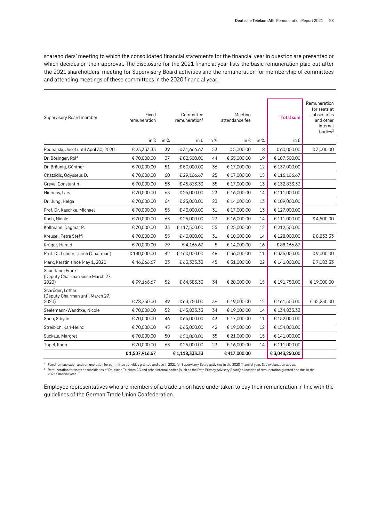shareholders' meeting to which the consolidated financial statements for the financial year in question are presented or which decides on their approval. The disclosure for the 2021 financial year lists the basic remuneration paid out after the 2021 shareholders' meeting for Supervisory Board activities and the remuneration for membership of committees and attending meetings of these committees in the 2020 financial year.

| Fixed<br>Committee<br>Meeting<br>Supervisory Board member<br><b>Total sum</b><br>remuneration<br>remuneration <sup>1</sup><br>attendance fee<br>bodies <sup>2</sup><br>in %<br>in %<br>in €<br>in %<br>in €<br>in €<br>in €<br>€ 23,333.33<br>€ 31,666.67<br>€ 5,000.00<br>€ 60,000.00<br>39<br>53<br>8<br>Bednarski, Josef until April 30, 2020<br>19<br>€ 70,000.00<br>37<br>€ 82,500.00<br>44<br>€ 35,000.00<br>€187,500.00<br>Dr. Bösinger, Rolf<br>12<br>€137,000.00<br>€70,000.00<br>51<br>€ 50,000.00<br>36<br>€17,000.00<br>Dr. Bräunig, Günther<br>€ 70,000.00<br>60<br>25<br>€ 17,000.00<br>15<br>€116,166.67<br>Chatzidis, Odysseus D.<br>€ 29,166.67<br>€70,000.00<br>53<br>€45,833.33<br>35<br>€17,000.00<br>13<br>€132,833.33<br>Greve, Constantin<br>€ 111,000.00<br>Hinrichs, Lars<br>€70,000.00<br>63<br>€ 25,000.00<br>23<br>€16,000.00<br>14<br>23<br>13<br>€ 109,000.00<br>Dr. Jung, Helga<br>€70,000.00<br>64<br>€ 25,000.00<br>€14,000.00<br>13<br>Prof. Dr. Kaschke, Michael<br>€ 70,000.00<br>55<br>€40,000.00<br>31<br>€127,000.00<br>€17,000.00<br>14<br>€111,000.00<br>€70,000.00<br>63<br>€ 25,000.00<br>23<br>€16,000.00<br>Koch, Nicole<br>12<br>Kollmann, Dagmar P.<br>€70,000.00<br>33<br>55<br>€ 212,500.00<br>€117,500.00<br>€ 25,000.00<br>€70,000.00<br>55<br>31<br>14<br>€128,000.00<br>Kreusel, Petra Steffi<br>€40,000.00<br>€18,000.00<br>€ 70,000.00<br>79<br>5<br>16<br>€ 88,166.67<br>Krüger, Harald<br>€4,166.67<br>€14,000.00<br>Prof. Dr. Lehner, Ulrich (Chairman)<br>€ 336,000.00<br>€140,000.00<br>42<br>€160,000.00<br>48<br>€ 36,000.00<br>11<br>22<br>Marx, Kerstin since May 1, 2020<br>€46,666.67<br>33<br>€ 63,333.33<br>45<br>€ 31,000.00<br>€141,000.00<br>Sauerland, Frank<br>(Deputy Chairman since March 27,<br>2020)<br>52<br>15<br>€191,750.00<br>€99,166.67<br>€ 64,583.33<br>34<br>€ 28,000.00<br>Schröder, Lothar<br>(Deputy Chairman until March 27,<br>€78,750.00<br>€ 63,750.00<br>39<br>12<br>€161,500.00<br>2020)<br>49<br>€19,000.00<br>€ 70,000.00<br>52<br>€45,833.33<br>34<br>€19,000.00<br>14<br>€134,833.33<br>Seelemann-Wandtke, Nicole<br>€ 70,000.00<br>€152,000.00<br>Spoo, Sibylle<br>46<br>€ 65,000.00<br>43<br>€17,000.00<br>11<br>€70,000.00<br>45<br>€ 65,000.00<br>42<br>€19,000.00<br>12<br>€154,000.00<br>Streibich, Karl-Heinz<br>€70,000.00<br>15<br>€141,000.00<br>50<br>€ 50,000.00<br>35<br>€ 21,000.00<br>Suckale, Margret<br>€70,000.00<br>63<br>23<br>14<br>€ 111,000.00<br>Topel, Karin<br>€ 25,000.00<br>€16,000.00 | €1,507,916.67 | €1,118,333.33 | €417,000.00 | € 3,043,250.00 |                                                                       |
|-----------------------------------------------------------------------------------------------------------------------------------------------------------------------------------------------------------------------------------------------------------------------------------------------------------------------------------------------------------------------------------------------------------------------------------------------------------------------------------------------------------------------------------------------------------------------------------------------------------------------------------------------------------------------------------------------------------------------------------------------------------------------------------------------------------------------------------------------------------------------------------------------------------------------------------------------------------------------------------------------------------------------------------------------------------------------------------------------------------------------------------------------------------------------------------------------------------------------------------------------------------------------------------------------------------------------------------------------------------------------------------------------------------------------------------------------------------------------------------------------------------------------------------------------------------------------------------------------------------------------------------------------------------------------------------------------------------------------------------------------------------------------------------------------------------------------------------------------------------------------------------------------------------------------------------------------------------------------------------------------------------------------------------------------------------------------------------------------------------------------------------------------------------------------------------------------------------------------------------------------------------------------------------------------------------------------------------------------------------------------------------------------------------------------------------------------------------------------------------------------------------------------|---------------|---------------|-------------|----------------|-----------------------------------------------------------------------|
|                                                                                                                                                                                                                                                                                                                                                                                                                                                                                                                                                                                                                                                                                                                                                                                                                                                                                                                                                                                                                                                                                                                                                                                                                                                                                                                                                                                                                                                                                                                                                                                                                                                                                                                                                                                                                                                                                                                                                                                                                                                                                                                                                                                                                                                                                                                                                                                                                                                                                                                       |               |               |             |                |                                                                       |
|                                                                                                                                                                                                                                                                                                                                                                                                                                                                                                                                                                                                                                                                                                                                                                                                                                                                                                                                                                                                                                                                                                                                                                                                                                                                                                                                                                                                                                                                                                                                                                                                                                                                                                                                                                                                                                                                                                                                                                                                                                                                                                                                                                                                                                                                                                                                                                                                                                                                                                                       |               |               |             |                |                                                                       |
|                                                                                                                                                                                                                                                                                                                                                                                                                                                                                                                                                                                                                                                                                                                                                                                                                                                                                                                                                                                                                                                                                                                                                                                                                                                                                                                                                                                                                                                                                                                                                                                                                                                                                                                                                                                                                                                                                                                                                                                                                                                                                                                                                                                                                                                                                                                                                                                                                                                                                                                       |               |               |             |                |                                                                       |
|                                                                                                                                                                                                                                                                                                                                                                                                                                                                                                                                                                                                                                                                                                                                                                                                                                                                                                                                                                                                                                                                                                                                                                                                                                                                                                                                                                                                                                                                                                                                                                                                                                                                                                                                                                                                                                                                                                                                                                                                                                                                                                                                                                                                                                                                                                                                                                                                                                                                                                                       |               |               |             |                |                                                                       |
|                                                                                                                                                                                                                                                                                                                                                                                                                                                                                                                                                                                                                                                                                                                                                                                                                                                                                                                                                                                                                                                                                                                                                                                                                                                                                                                                                                                                                                                                                                                                                                                                                                                                                                                                                                                                                                                                                                                                                                                                                                                                                                                                                                                                                                                                                                                                                                                                                                                                                                                       |               |               |             |                |                                                                       |
|                                                                                                                                                                                                                                                                                                                                                                                                                                                                                                                                                                                                                                                                                                                                                                                                                                                                                                                                                                                                                                                                                                                                                                                                                                                                                                                                                                                                                                                                                                                                                                                                                                                                                                                                                                                                                                                                                                                                                                                                                                                                                                                                                                                                                                                                                                                                                                                                                                                                                                                       |               |               |             |                | € 32,230.00                                                           |
|                                                                                                                                                                                                                                                                                                                                                                                                                                                                                                                                                                                                                                                                                                                                                                                                                                                                                                                                                                                                                                                                                                                                                                                                                                                                                                                                                                                                                                                                                                                                                                                                                                                                                                                                                                                                                                                                                                                                                                                                                                                                                                                                                                                                                                                                                                                                                                                                                                                                                                                       |               |               |             |                | €19,000.00                                                            |
|                                                                                                                                                                                                                                                                                                                                                                                                                                                                                                                                                                                                                                                                                                                                                                                                                                                                                                                                                                                                                                                                                                                                                                                                                                                                                                                                                                                                                                                                                                                                                                                                                                                                                                                                                                                                                                                                                                                                                                                                                                                                                                                                                                                                                                                                                                                                                                                                                                                                                                                       |               |               |             |                | €7,083.33                                                             |
|                                                                                                                                                                                                                                                                                                                                                                                                                                                                                                                                                                                                                                                                                                                                                                                                                                                                                                                                                                                                                                                                                                                                                                                                                                                                                                                                                                                                                                                                                                                                                                                                                                                                                                                                                                                                                                                                                                                                                                                                                                                                                                                                                                                                                                                                                                                                                                                                                                                                                                                       |               |               |             |                | € 9,000.00                                                            |
|                                                                                                                                                                                                                                                                                                                                                                                                                                                                                                                                                                                                                                                                                                                                                                                                                                                                                                                                                                                                                                                                                                                                                                                                                                                                                                                                                                                                                                                                                                                                                                                                                                                                                                                                                                                                                                                                                                                                                                                                                                                                                                                                                                                                                                                                                                                                                                                                                                                                                                                       |               |               |             |                |                                                                       |
|                                                                                                                                                                                                                                                                                                                                                                                                                                                                                                                                                                                                                                                                                                                                                                                                                                                                                                                                                                                                                                                                                                                                                                                                                                                                                                                                                                                                                                                                                                                                                                                                                                                                                                                                                                                                                                                                                                                                                                                                                                                                                                                                                                                                                                                                                                                                                                                                                                                                                                                       |               |               |             |                | € 8,833.33                                                            |
|                                                                                                                                                                                                                                                                                                                                                                                                                                                                                                                                                                                                                                                                                                                                                                                                                                                                                                                                                                                                                                                                                                                                                                                                                                                                                                                                                                                                                                                                                                                                                                                                                                                                                                                                                                                                                                                                                                                                                                                                                                                                                                                                                                                                                                                                                                                                                                                                                                                                                                                       |               |               |             |                |                                                                       |
|                                                                                                                                                                                                                                                                                                                                                                                                                                                                                                                                                                                                                                                                                                                                                                                                                                                                                                                                                                                                                                                                                                                                                                                                                                                                                                                                                                                                                                                                                                                                                                                                                                                                                                                                                                                                                                                                                                                                                                                                                                                                                                                                                                                                                                                                                                                                                                                                                                                                                                                       |               |               |             |                | €4,500.00                                                             |
|                                                                                                                                                                                                                                                                                                                                                                                                                                                                                                                                                                                                                                                                                                                                                                                                                                                                                                                                                                                                                                                                                                                                                                                                                                                                                                                                                                                                                                                                                                                                                                                                                                                                                                                                                                                                                                                                                                                                                                                                                                                                                                                                                                                                                                                                                                                                                                                                                                                                                                                       |               |               |             |                |                                                                       |
|                                                                                                                                                                                                                                                                                                                                                                                                                                                                                                                                                                                                                                                                                                                                                                                                                                                                                                                                                                                                                                                                                                                                                                                                                                                                                                                                                                                                                                                                                                                                                                                                                                                                                                                                                                                                                                                                                                                                                                                                                                                                                                                                                                                                                                                                                                                                                                                                                                                                                                                       |               |               |             |                |                                                                       |
|                                                                                                                                                                                                                                                                                                                                                                                                                                                                                                                                                                                                                                                                                                                                                                                                                                                                                                                                                                                                                                                                                                                                                                                                                                                                                                                                                                                                                                                                                                                                                                                                                                                                                                                                                                                                                                                                                                                                                                                                                                                                                                                                                                                                                                                                                                                                                                                                                                                                                                                       |               |               |             |                |                                                                       |
|                                                                                                                                                                                                                                                                                                                                                                                                                                                                                                                                                                                                                                                                                                                                                                                                                                                                                                                                                                                                                                                                                                                                                                                                                                                                                                                                                                                                                                                                                                                                                                                                                                                                                                                                                                                                                                                                                                                                                                                                                                                                                                                                                                                                                                                                                                                                                                                                                                                                                                                       |               |               |             |                |                                                                       |
|                                                                                                                                                                                                                                                                                                                                                                                                                                                                                                                                                                                                                                                                                                                                                                                                                                                                                                                                                                                                                                                                                                                                                                                                                                                                                                                                                                                                                                                                                                                                                                                                                                                                                                                                                                                                                                                                                                                                                                                                                                                                                                                                                                                                                                                                                                                                                                                                                                                                                                                       |               |               |             |                |                                                                       |
|                                                                                                                                                                                                                                                                                                                                                                                                                                                                                                                                                                                                                                                                                                                                                                                                                                                                                                                                                                                                                                                                                                                                                                                                                                                                                                                                                                                                                                                                                                                                                                                                                                                                                                                                                                                                                                                                                                                                                                                                                                                                                                                                                                                                                                                                                                                                                                                                                                                                                                                       |               |               |             |                |                                                                       |
|                                                                                                                                                                                                                                                                                                                                                                                                                                                                                                                                                                                                                                                                                                                                                                                                                                                                                                                                                                                                                                                                                                                                                                                                                                                                                                                                                                                                                                                                                                                                                                                                                                                                                                                                                                                                                                                                                                                                                                                                                                                                                                                                                                                                                                                                                                                                                                                                                                                                                                                       |               |               |             |                |                                                                       |
|                                                                                                                                                                                                                                                                                                                                                                                                                                                                                                                                                                                                                                                                                                                                                                                                                                                                                                                                                                                                                                                                                                                                                                                                                                                                                                                                                                                                                                                                                                                                                                                                                                                                                                                                                                                                                                                                                                                                                                                                                                                                                                                                                                                                                                                                                                                                                                                                                                                                                                                       |               |               |             |                | € 3,000.00                                                            |
|                                                                                                                                                                                                                                                                                                                                                                                                                                                                                                                                                                                                                                                                                                                                                                                                                                                                                                                                                                                                                                                                                                                                                                                                                                                                                                                                                                                                                                                                                                                                                                                                                                                                                                                                                                                                                                                                                                                                                                                                                                                                                                                                                                                                                                                                                                                                                                                                                                                                                                                       |               |               |             |                |                                                                       |
|                                                                                                                                                                                                                                                                                                                                                                                                                                                                                                                                                                                                                                                                                                                                                                                                                                                                                                                                                                                                                                                                                                                                                                                                                                                                                                                                                                                                                                                                                                                                                                                                                                                                                                                                                                                                                                                                                                                                                                                                                                                                                                                                                                                                                                                                                                                                                                                                                                                                                                                       |               |               |             |                | Remuneration<br>for seats at<br>subsidiaries<br>and other<br>internal |

<sup>1</sup> Fixed remuneration and remuneration for committee activities granted and due in 2021 for Supervisory Board activities in the 2020 financial year. See explanation above.

<sup>2</sup> Remuneration for seats at subsidiaries of Deutsche Telekom AG and other internal bodies (such as the Data Privacy Advisory Board): allocation of remuneration granted and due in the 2021 financial year.

Employee representatives who are members of a trade union have undertaken to pay their remuneration in line with the guidelines of the German Trade Union Confederation.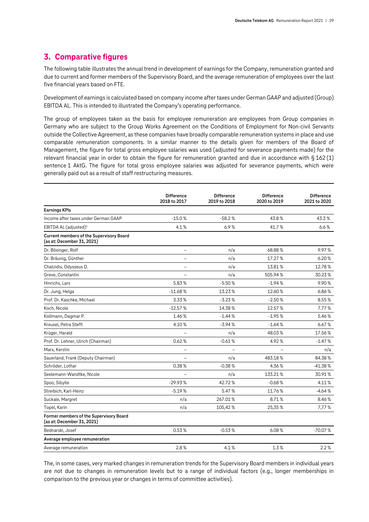# <span id="page-28-0"></span>**3. Comparative figures**

The following table illustrates the annual trend in development of earnings for the Company, remuneration granted and due to current and former members of the Supervisory Board, and the average remuneration of employees over the last five financial years based on FTE.

Development of earnings is calculated based on company income after taxes under German GAAP and adjusted (Group) EBITDA AL. This is intended to illustrated the Company's operating performance.

The group of employees taken as the basis for employee remuneration are employees from Group companies in Germany who are subject to the Group Works Agreement on the Conditions of Employment for Non-civil Servants outside the Collective Agreement, as these companies have broadly comparable remuneration systems in place and use comparable remuneration components. In a similar manner to the details given for members of the Board of Management, the figure for total gross employee salaries was used (adjusted for severance payments made) for the relevant financial year in order to obtain the figure for remuneration granted and due in accordance with § 162 (1) sentence 1 AktG. The figure for total gross employee salaries was adjusted for severance payments, which were generally paid out as a result of staff restructuring measures.

|                                                                               | <b>Difference</b><br>2018 to 2017 | <b>Difference</b><br>2019 to 2018 | <b>Difference</b><br>2020 to 2019 | <b>Difference</b><br>2021 to 2020 |
|-------------------------------------------------------------------------------|-----------------------------------|-----------------------------------|-----------------------------------|-----------------------------------|
| <b>Earnings KPIs</b>                                                          |                                   |                                   |                                   |                                   |
| Income after taxes under German GAAP                                          | $-15.0%$                          | $-58.2%$                          | 43.8%                             | 43.3%                             |
| EBITDA AL (adjusted) <sup>1</sup>                                             | 4.1%                              | 6.9%                              | 41.7%                             | 6.6%                              |
| <b>Current members of the Supervisory Board</b><br>(as at: December 31, 2021) |                                   |                                   |                                   |                                   |
| Dr. Bösinger, Rolf                                                            | $\overline{\phantom{0}}$          | n/a                               | 68.88%                            | 9.97%                             |
| Dr. Bräunig, Günther                                                          | $\overline{a}$                    | n/a                               | 17.27%                            | 6.20%                             |
| Chatzidis, Odysseus D.                                                        | $\overline{\phantom{0}}$          | n/a                               | 13.81%                            | 12.78%                            |
| Greve, Constantin                                                             | $\equiv$                          | n/a                               | 505.94%                           | 30.23%                            |
| Hinrichs, Lars                                                                | 5.83%                             | $-5.50%$                          | $-1.94%$                          | 9.90%                             |
| Dr. Jung, Helga                                                               | $-11.68%$                         | 13.23%                            | 12.60%                            | 6.86%                             |
| Prof. Dr. Kaschke, Michael                                                    | 3.33%                             | $-3.23%$                          | $-2.50%$                          | 8.55%                             |
| Koch, Nicole                                                                  | $-12.57%$                         | 14.38%                            | 12.57%                            | 7.77%                             |
| Kollmann, Dagmar P.                                                           | 1.46%                             | $-1.44%$                          | $-1.95%$                          | 5.46%                             |
| Kreusel, Petra Steffi                                                         | 4.10%                             | $-3.94%$                          | $-1.64%$                          | 6.67%                             |
| Krüger, Harald                                                                |                                   | n/a                               | 48.03%                            | 17.56%                            |
| Prof. Dr. Lehner, Ulrich (Chairman)                                           | 0.62%                             | $-0.61%$                          | 4.92%                             | $-1.47%$                          |
| Marx, Kerstin                                                                 |                                   |                                   |                                   | n/a                               |
| Sauerland, Frank (Deputy Chairman)                                            | $\overline{\phantom{0}}$          | n/a                               | 483.18%                           | 84.38%                            |
| Schröder, Lothar                                                              | 0.38%                             | $-0.38%$                          | 4.36%                             | $-41.38%$                         |
| Seelemann-Wandtke, Nicole                                                     |                                   | n/a                               | 133.21%                           | 30.91%                            |
| Spoo, Sibylle                                                                 | $-29.93%$                         | 42.72%                            | $-0.68%$                          | 4.11%                             |
| Streibich, Karl-Heinz                                                         | $-5.19%$                          | 5.47%                             | 11.76%                            | $-4.64%$                          |
| Suckale, Margret                                                              | n/a                               | 267.01%                           | 8.71%                             | 8.46 %                            |
| Topel, Karin                                                                  | n/a                               | 105,42%                           | 25,35%                            | 7,77%                             |
| Former members of the Supervisory Board<br>(as at: December 31, 2021)         |                                   |                                   |                                   |                                   |
| Bednarski, Josef                                                              | 0.53%                             | $-0.53%$                          | 6.08%                             | $-70.07%$                         |
| Average employee remuneration                                                 |                                   |                                   |                                   |                                   |
| Average remuneration                                                          | 2.8%                              | 4.1%                              | 1.3%                              | 2.2%                              |

The, in some cases, very marked changes in remuneration trends for the Supervisory Board members in individual years are not due to changes in remuneration levels but to a range of individual factors (e.g., longer memberships in comparison to the previous year or changes in terms of committee activities).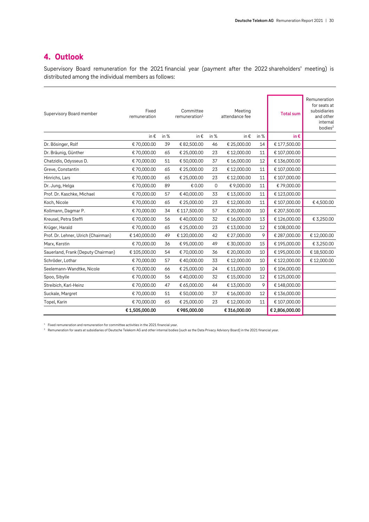# <span id="page-29-0"></span>**4. Outlook**

Supervisory Board remuneration for the 2021 financial year (payment after the 2022 shareholders' meeting) is distributed among the individual members as follows:

| Supervisory Board member            | Fixed<br>remuneration |      | Committee<br>remuneration <sup>1</sup> |      | Meeting<br>attendance fee |      | <b>Total sum</b> | Remuneration<br>for seats at<br>subsidiaries<br>and other<br>internal<br>bodies <sup>2</sup> |
|-------------------------------------|-----------------------|------|----------------------------------------|------|---------------------------|------|------------------|----------------------------------------------------------------------------------------------|
|                                     | in €                  | in % | in €                                   | in % | in €                      | in % | in€              |                                                                                              |
| Dr. Bösinger, Rolf                  | € 70,000.00           | 39   | €82,500.00                             | 46   | € 25,000.00               | 14   | €177,500.00      |                                                                                              |
| Dr. Bräunig, Günther                | €70,000.00            | 65   | € 25,000.00                            | 23   | €12,000.00                | 11   | € 107,000.00     |                                                                                              |
| Chatzidis, Odysseus D.              | € 70,000.00           | 51   | € 50,000.00                            | 37   | € 16,000.00               | 12   | €136,000.00      |                                                                                              |
| Greve, Constantin                   | € 70,000.00           | 65   | € 25,000.00                            | 23   | €12,000.00                | 11   | € 107,000.00     |                                                                                              |
| Hinrichs, Lars                      | € 70,000.00           | 65   | € 25,000.00                            | 23   | €12,000.00                | 11   | € 107,000.00     |                                                                                              |
| Dr. Jung, Helga                     | €70.000.00            | 89   | € 0.00                                 | 0    | € 9,000.00                | 11   | €79,000.00       |                                                                                              |
| Prof. Dr. Kaschke, Michael          | € 70,000.00           | 57   | €40,000.00                             | 33   | €13,000.00                | 11   | €123,000.00      |                                                                                              |
| Koch, Nicole                        | € 70,000.00           | 65   | € 25,000.00                            | 23   | €12,000.00                | 11   | € 107,000.00     | €4,500.00                                                                                    |
| Kollmann, Dagmar P.                 | € 70,000.00           | 34   | € 117,500.00                           | 57   | € 20,000.00               | 10   | € 207,500.00     |                                                                                              |
| Kreusel, Petra Steffi               | €70,000.00            | 56   | €40,000.00                             | 32   | €16,000.00                | 13   | €126,000.00      | € 3,250.00                                                                                   |
| Krüger, Harald                      | € 70,000.00           | 65   | € 25,000.00                            | 23   | €13,000.00                | 12   | € 108,000.00     |                                                                                              |
| Prof. Dr. Lehner, Ulrich (Chairman) | € 140,000.00          | 49   | €120,000.00                            | 42   | € 27,000.00               | 9    | € 287,000.00     | €12,000.00                                                                                   |
| Marx, Kerstin                       | € 70,000.00           | 36   | €95,000.00                             | 49   | € 30,000.00               | 15   | €195,000.00      | € 3,250.00                                                                                   |
| Sauerland, Frank (Deputy Chairman)  | € 105,000.00          | 54   | €70,000.00                             | 36   | € 20,000.00               | 10   | €195,000.00      | €18,500.00                                                                                   |
| Schröder, Lothar                    | € 70,000.00           | 57   | €40,000.00                             | 33   | €12,000.00                | 10   | €122,000.00      | €12,000.00                                                                                   |
| Seelemann-Wandtke, Nicole           | € 70,000.00           | 66   | € 25,000.00                            | 24   | € 11,000.00               | 10   | € 106,000.00     |                                                                                              |
| Spoo, Sibylle                       | € 70,000.00           | 56   | €40,000.00                             | 32   | €15,000.00                | 12   | €125,000.00      |                                                                                              |
| Streibich, Karl-Heinz               | € 70,000.00           | 47   | € 65,000.00                            | 44   | €13,000.00                | 9    | €148,000.00      |                                                                                              |
| Suckale, Margret                    | € 70,000.00           | 51   | € 50,000.00                            | 37   | €16,000.00                | 12   | €136,000.00      |                                                                                              |
| Topel, Karin                        | € 70,000.00           | 65   | € 25,000.00                            | 23   | €12,000.00                | 11   | € 107,000.00     |                                                                                              |
|                                     | €1,505,000.00         |      | €985,000.00                            |      | € 316,000.00              |      | € 2,806,000.00   |                                                                                              |

 $^{\rm 1}~$  Fixed remuneration and remuneration for committee activities in the 2021 financial year.

<sup>2</sup> Remuneration for seats at subsidiaries of Deutsche Telekom AG and other internal bodies (such as the Data Privacy Advisory Board) in the 2021 financial year.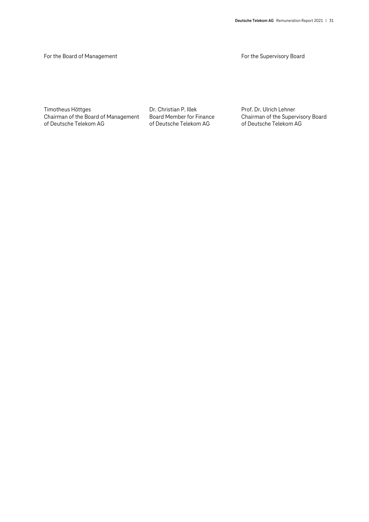For the Board of Management **For the Supervisory Board** For the Supervisory Board

Timotheus Höttges **Dr. Christian P. Illek** Prof. Dr. Ulrich Lehner<br>Chairman of the Board of Management Board Member for Finance Chairman of the Supervisory Board Chairman of the Board of Management of Deutsche Telekom AG of Deutsche Telekom AG of Deutsche Telekom AG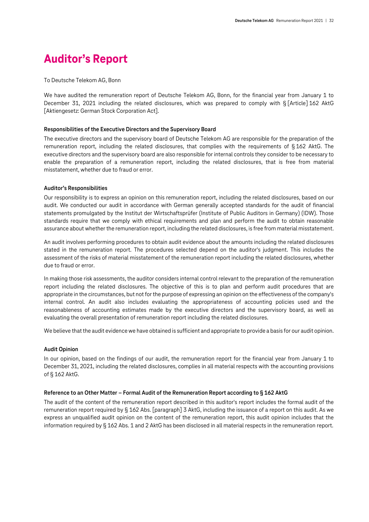# <span id="page-31-0"></span>**Auditor's Report**

#### To Deutsche Telekom AG, Bonn

We have audited the remuneration report of Deutsche Telekom AG, Bonn, for the financial year from January 1 to December 31, 2021 including the related disclosures, which was prepared to comply with § [Article] 162 AktG [Aktiengesetz: German Stock Corporation Act].

#### **Responsibilities of the Executive Directors and the Supervisory Board**

The executive directors and the supervisory board of Deutsche Telekom AG are responsible for the preparation of the remuneration report, including the related disclosures, that complies with the requirements of § 162 AktG. The executive directors and the supervisory board are also responsible for internal controls they consider to be necessary to enable the preparation of a remuneration report, including the related disclosures, that is free from material misstatement, whether due to fraud or error.

#### **Auditor's Responsibilities**

Our responsibility is to express an opinion on this remuneration report, including the related disclosures, based on our audit. We conducted our audit in accordance with German generally accepted standards for the audit of financial statements promulgated by the Institut der Wirtschaftsprüfer (Institute of Public Auditors in Germany) (IDW). Those standards require that we comply with ethical requirements and plan and perform the audit to obtain reasonable assurance about whether the remuneration report, including the related disclosures, is free from material misstatement.

An audit involves performing procedures to obtain audit evidence about the amounts including the related disclosures stated in the remuneration report. The procedures selected depend on the auditor's judgment. This includes the assessment of the risks of material misstatement of the remuneration report including the related disclosures, whether due to fraud or error.

In making those risk assessments, the auditor considers internal control relevant to the preparation of the remuneration report including the related disclosures. The objective of this is to plan and perform audit procedures that are appropriate in the circumstances, but not for the purpose of expressing an opinion on the effectiveness of the company's internal control. An audit also includes evaluating the appropriateness of accounting policies used and the reasonableness of accounting estimates made by the executive directors and the supervisory board, as well as evaluating the overall presentation of remuneration report including the related disclosures.

We believe that the audit evidence we have obtained is sufficient and appropriate to provide a basis for our audit opinion.

#### **Audit Opinion**

In our opinion, based on the findings of our audit, the remuneration report for the financial year from January 1 to December 31, 2021, including the related disclosures, complies in all material respects with the accounting provisions of § 162 AktG.

#### **Reference to an Other Matter – Formal Audit of the Remuneration Report according to § 162 AktG**

The audit of the content of the remuneration report described in this auditor's report includes the formal audit of the remuneration report required by § 162 Abs. [paragraph] 3 AktG, including the issuance of a report on this audit. As we express an unqualified audit opinion on the content of the remuneration report, this audit opinion includes that the information required by § 162 Abs. 1 and 2 AktG has been disclosed in all material respects in the remuneration report.